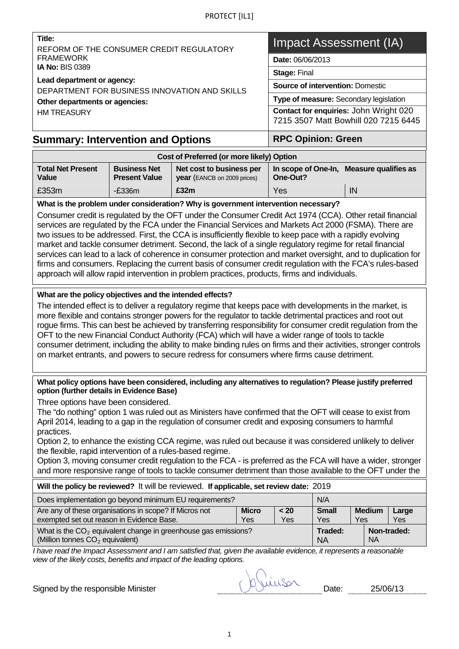| Title:<br>REFORM OF THE CONSUMER CREDIT REGULATORY                                                                                      | Impact Assessment (IA)                                                         |  |  |
|-----------------------------------------------------------------------------------------------------------------------------------------|--------------------------------------------------------------------------------|--|--|
| <b>FRAMEWORK</b>                                                                                                                        | <b>Date: 06/06/2013</b>                                                        |  |  |
| <b>IA No: BIS 0389</b><br>Lead department or agency:<br>DEPARTMENT FOR BUSINESS INNOVATION AND SKILLS<br>Other departments or agencies: | <b>Stage: Final</b>                                                            |  |  |
|                                                                                                                                         | <b>Source of intervention: Domestic</b>                                        |  |  |
|                                                                                                                                         | Type of measure: Secondary legislation                                         |  |  |
| <b>HM TREASURY</b>                                                                                                                      | Contact for enquiries: John Wright 020<br>7215 3507 Matt Bowhill 020 7215 6445 |  |  |
| Summary: Intervention and Ontions                                                                                                       | RPC Oninion: Green                                                             |  |  |

## **Summary: Intervention and Options**

#### **Cost of Preferred (or more likely) Option Total Net Present Value Business Net Present Value Net cost to business per year** (EANCB on 2009 prices) **In scope of One-In, Measure qualifies as One-Out?**  £353m -£336m **£32m** Yes IN

### **What is the problem under consideration? Why is government intervention necessary?**

Consumer credit is regulated by the OFT under the Consumer Credit Act 1974 (CCA). Other retail financial services are regulated by the FCA under the Financial Services and Markets Act 2000 (FSMA). There are two issues to be addressed. First, the CCA is insufficiently flexible to keep pace with a rapidly evolving market and tackle consumer detriment. Second, the lack of a single regulatory regime for retail financial services can lead to a lack of coherence in consumer protection and market oversight, and to duplication for firms and consumers. Replacing the current basis of consumer credit regulation with the FCA's rules-based approach will allow rapid intervention in problem practices, products, firms and individuals.

### **What are the policy objectives and the intended effects?**

The intended effect is to deliver a regulatory regime that keeps pace with developments in the market, is more flexible and contains stronger powers for the regulator to tackle detrimental practices and root out rogue firms. This can best be achieved by transferring responsibility for consumer credit regulation from the OFT to the new Financial Conduct Authority (FCA) which will have a wider range of tools to tackle consumer detriment, including the ability to make binding rules on firms and their activities, stronger controls on market entrants, and powers to secure redress for consumers where firms cause detriment.

#### **What policy options have been considered, including any alternatives to regulation? Please justify preferred option (further details in Evidence Base)**

Three options have been considered.

The "do nothing" option 1 was ruled out as Ministers have confirmed that the OFT will cease to exist from April 2014, leading to a gap in the regulation of consumer credit and exposing consumers to harmful practices.

Option 2, to enhance the existing CCA regime, was ruled out because it was considered unlikely to deliver the flexible, rapid intervention of a rules-based regime.

Option 3, moving consumer credit regulation to the FCA - is preferred as the FCA will have a wider, stronger and more responsive range of tools to tackle consumer detriment than those available to the OFT under the

| Will the policy be reviewed? It will be reviewed. If applicable, set review date: 2019                                                                                                                   |  |  |                      |           |             |
|----------------------------------------------------------------------------------------------------------------------------------------------------------------------------------------------------------|--|--|----------------------|-----------|-------------|
| Does implementation go beyond minimum EU requirements?<br>N/A                                                                                                                                            |  |  |                      |           |             |
| Are any of these organisations in scope? If Micros not<br><b>Micro</b><br><b>Small</b><br><b>Medium</b><br>< 20<br>Large<br>exempted set out reason in Evidence Base.<br>Yes<br>Yes<br>Yes<br>Yes<br>Yes |  |  |                      |           |             |
| What is the $CO2$ equivalent change in greenhouse gas emissions?<br>(Million tonnes CO <sub>2</sub> equivalent)                                                                                          |  |  | Traded:<br><b>NA</b> | <b>NA</b> | Non-traded: |

<span id="page-0-0"></span>*I have read the Impact Assessment and I am satisfied that, given the available evidence, it represents a reasonable view of the likely costs, benefits and impact of the leading options.* 

Signed by the responsible Minister Signed by the responsible Minister Contract of Devotion Date: 25/06/13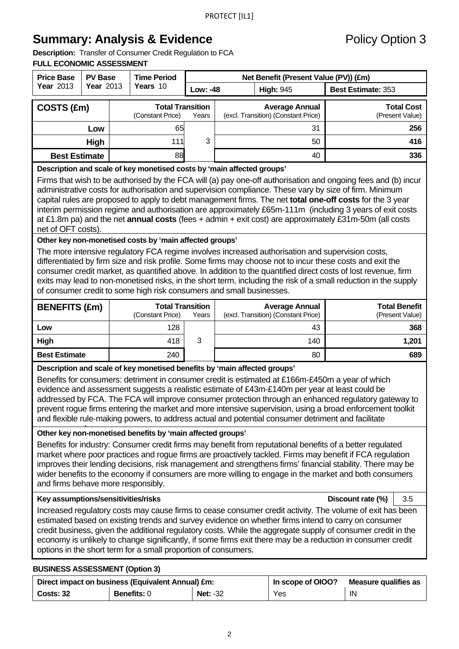## **Summary: Analysis & Evidence Policy Option 3**

**Description:** Transfer of Consumer Credit Regulation to FCA **FULL ECONOMIC ASSESSMENT** 

| <b>Price Base</b>    | <b>PV Base</b> | <b>Time Period</b>                          | Net Benefit (Present Value (PV)) (£m)                                 |                  |                                      |
|----------------------|----------------|---------------------------------------------|-----------------------------------------------------------------------|------------------|--------------------------------------|
| <b>Year 2013</b>     | Year 2013      | Years 10                                    | Low: -48                                                              | <b>High: 945</b> | <b>Best Estimate: 353</b>            |
| COSTS (£m)           |                | <b>Total Transition</b><br>(Constant Price) | <b>Average Annual</b><br>(excl. Transition) (Constant Price)<br>Years |                  | <b>Total Cost</b><br>(Present Value) |
|                      | Low            | 65                                          |                                                                       | 31               | 256                                  |
|                      | High           | 111                                         | 3<br>50                                                               |                  | 416                                  |
| <b>Best Estimate</b> |                | 88                                          |                                                                       | 40               | 336                                  |
|                      |                |                                             |                                                                       |                  |                                      |

#### **Description and scale of key monetised costs by 'main affected groups'**

Firms that wish to be authorised by the FCA will (a) pay one-off authorisation and ongoing fees and (b) incur administrative costs for authorisation and supervision compliance. These vary by size of firm. Minimum capital rules are proposed to apply to debt management firms. The net **total one-off costs** for the 3 year interim permission regime and authorisation are approximately £65m-111m (including 3 years of exit costs at £1.8m pa) and the net **annual costs** (fees + admin + exit cost) are approximately £31m-50m (all costs net of OFT costs).

## **Other key non-monetised costs by 'main affected groups'**

The more intensive regulatory FCA regime involves increased authorisation and supervision costs, differentiated by firm size and risk profile. Some firms may choose not to incur these costs and exit the consumer credit market, as quantified above. In addition to the quantified direct costs of lost revenue, firm exits may lead to non-monetised risks, in the short term, including the risk of a small reduction in the supply of consumer credit to some high risk consumers and small businesses.

| <b>BENEFITS (£m)</b> | <b>Total Transition</b><br>(Constant Price) | Years | <b>Average Annual</b><br>(excl. Transition) (Constant Price) | <b>Total Benefit</b><br>(Present Value) |
|----------------------|---------------------------------------------|-------|--------------------------------------------------------------|-----------------------------------------|
| Low                  | 128                                         |       | 43                                                           | 368                                     |
| High                 | 418                                         | 3     | 140                                                          | 1.201                                   |
| <b>Best Estimate</b> | 240                                         |       | 80                                                           | 689                                     |

## **Description and scale of key monetised benefits by 'main affected groups'**

Benefits for consumers: detriment in consumer credit is estimated at £166m-£450m a year of which evidence and assessment suggests a realistic estimate of £43m-£140m per year at least could be addressed by FCA. The FCA will improve consumer protection through an enhanced regulatory gateway to prevent rogue firms entering the market and more intensive supervision, using a broad enforcement toolkit and flexible rule-making powers, to address actual and potential consumer detriment and facilitate

#### Other key non-monetised benefits by 'main affected groups'

Benefits for industry: Consumer credit firms may benefit from reputational benefits of a better regulated market where poor practices and rogue firms are proactively tackled. Firms may benefit if FCA regulation improves their lending decisions, risk management and strengthens firms' financial stability. There may be wider benefits to the economy if consumers are more willing to engage in the market and both consumers and firms behave more responsibly.

#### **Key assumptions/sensitivities/risks Account rate (%) | 3.5 Discount rate (%) | 3.5**

Increased regulatory costs may cause firms to cease consumer credit activity. The volume of exit has been estimated based on existing trends and survey evidence on whether firms intend to carry on consumer credit business, given the additional regulatory costs. While the aggregate supply of consumer credit in the economy is unlikely to change significantly, if some firms exit there may be a reduction in consumer credit options in the short term for a small proportion of consumers.

#### **BUSINESS ASSESSMENT (Option 3)**

| Direct impact on business (Equivalent Annual) £m: |                    |            | In scope of OIOO? | Measure qualifies as |
|---------------------------------------------------|--------------------|------------|-------------------|----------------------|
| <b>Costs: 32</b>                                  | <b>Benefits: 0</b> | Net: $-32$ | Yes               | IN                   |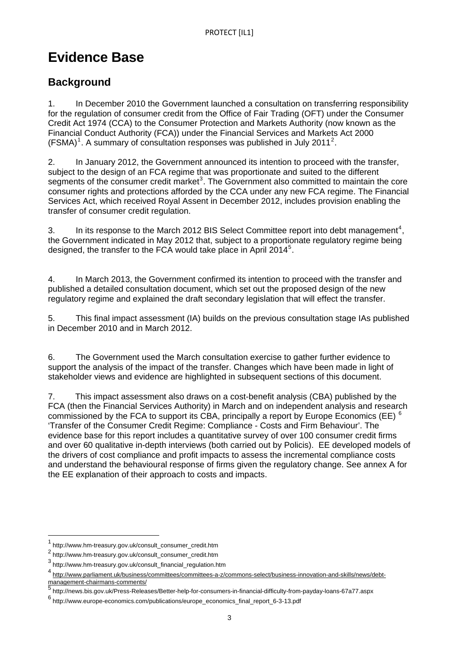# **Evidence Base**

## **Background**

(FSMA)<sup>[1](#page-0-0)</sup>. A summary of consultation responses was published in July 2011<sup>2</sup>. 1. In December 2010 the Government launched a consultation on transferring responsibility for the regulation of consumer credit from the Office of Fair Trading (OFT) under the Consumer Credit Act 1974 (CCA) to the Consumer Protection and Markets Authority (now known as the Financial Conduct Authority (FCA)) under the Financial Services and Markets Act 2000

2. In January 2012, the Government announced its intention to proceed with the transfer, subject to the design of an FCA regime that was proportionate and suited to the different segments of the consumer credit market<sup>[3](#page-2-0)</sup>. The Government also committed to maintain the core consumer rights and protections afforded by the CCA under any new FCA regime. The Financial Services Act, which received Royal Assent in December 2012, includes provision enabling the transfer of consumer credit regulation.

3. In its response to the March 2012 BIS Select Committee report into debt management<sup>[4](#page-2-1)</sup>, the Government indicated in May 2012 that, subject to a proportionate regulatory regime being designed, the transfer to the FCA would take place in April 2014<sup>[5](#page-2-2)</sup>.

4. In March 2013, the Government confirmed its intention to proceed with the transfer and published a detailed consultation document, which set out the proposed design of the new regulatory regime and explained the draft secondary legislation that will effect the transfer.

5. This final impact assessment (IA) builds on the previous consultation stage IAs published in December 2010 and in March 2012.

6. The Government used the March consultation exercise to gather further evidence to support the analysis of the impact of the transfer. Changes which have been made in light of stakeholder views and evidence are highlighted in subsequent sections of this document.

7. This impact assessment also draws on a cost-benefit analysis (CBA) published by the FCA (then the Financial Services Authority) in March and on independent analysis and research commissioned by the FCA to support its CBA, principally a report by Europe Economics (EE)  $^6$  $^6$ 'Transfer of the Consumer Credit Regime: Compliance - Costs and Firm Behaviour'. The evidence base for this report includes a quantitative survey of over 100 consumer credit firms and over 60 qualitative in-depth interviews (both carried out by Policis). EE developed models of the drivers of cost compliance and profit impacts to assess the incremental compliance costs and understand the behavioural response of firms given the regulatory change. See annex A for the EE explanation of their approach to costs and impacts.

<sup>1</sup> http://www.hm-treasury.gov.uk/consult\_consumer\_credit.htm

<sup>2</sup> http://www.hm-treasury.gov.uk/consult\_consumer\_credit.htm

<span id="page-2-0"></span><sup>3</sup> http://www.hm-treasury.gov.uk/consult\_financial\_regulation.htm

<span id="page-2-1"></span><sup>4</sup> [http://www.parliament.uk/business/committees/committees-a-z/commons-select/business-innovation-and-skills/news/debt](http://www.parliament.uk/business/committees/committees-a-z/commons-select/business-innovation-and-skills/news/debt-management-chairmans-comments/)[management-chairmans-comments/](http://www.parliament.uk/business/committees/committees-a-z/commons-select/business-innovation-and-skills/news/debt-management-chairmans-comments/) [5](http://www.parliament.uk/business/committees/committees-a-z/commons-select/business-innovation-and-skills/news/debt-management-chairmans-comments/)

<span id="page-2-2"></span>http://news.bis.gov.uk/Press-Releases/Better-help-for-consumers-in-financial-difficulty-from-payday-loans-67a77.aspx

<span id="page-2-3"></span><sup>6</sup> http://www.europe-economics.com/publications/europe\_economics\_final\_report\_6-3-13.pdf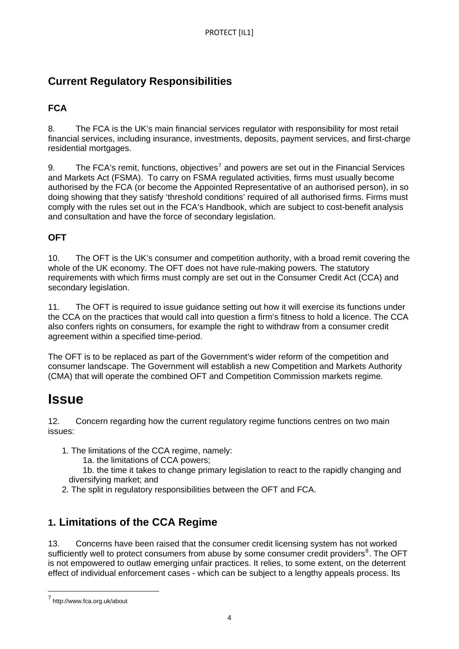## **Current Regulatory Responsibilities**

## **FCA**

8. The FCA is the UK's main financial services regulator with responsibility for most retail financial services, including insurance, investments, deposits, payment services, and first-charge residential mortgages.

9. The FCA's remit, functions, objectives<sup>[7](#page-2-3)</sup> and powers are set out in the Financial Services and Markets Act (FSMA). To carry on FSMA regulated activities, firms must usually become authorised by the FCA (or become the Appointed Representative of an authorised person), in so doing showing that they satisfy 'threshold conditions' required of all authorised firms. Firms must comply with the rules set out in the FCA's Handbook, which are subject to cost-benefit analysis and consultation and have the force of secondary legislation.

## **OFT**

10. The OFT is the UK's consumer and competition authority, with a broad remit covering the whole of the UK economy. The OFT does not have rule-making powers. The statutory requirements with which firms must comply are set out in the Consumer Credit Act (CCA) and secondary legislation.

11. The OFT is required to issue guidance setting out how it will exercise its functions under the CCA on the practices that would call into question a firm's fitness to hold a licence. The CCA also confers rights on consumers, for example the right to withdraw from a consumer credit agreement within a specified time-period.

The OFT is to be replaced as part of the Government's wider reform of the competition and consumer landscape. The Government will establish a new Competition and Markets Authority (CMA) that will operate the combined OFT and Competition Commission markets regime.

## **Issue**

12. Concern regarding how the current regulatory regime functions centres on two main issues:

- 1. The limitations of the CCA regime, namely:
	- 1a. the limitations of CCA powers;

1b. the time it takes to change primary legislation to react to the rapidly changing and diversifying market; and

2. The split in regulatory responsibilities between the OFT and FCA.

## **1. Limitations of the CCA Regime**

<span id="page-3-0"></span>13. Concerns have been raised that the consumer credit licensing system has not worked sufficiently well to protect consumers from abuse by some consumer credit providers<sup>[8](#page-3-0)</sup>. The OFT is not empowered to outlaw emerging unfair practices. It relies, to some extent, on the deterrent effect of individual enforcement cases - which can be subject to a lengthy appeals process. Its

<span id="page-3-1"></span> 7 http://www.fca.org.uk/about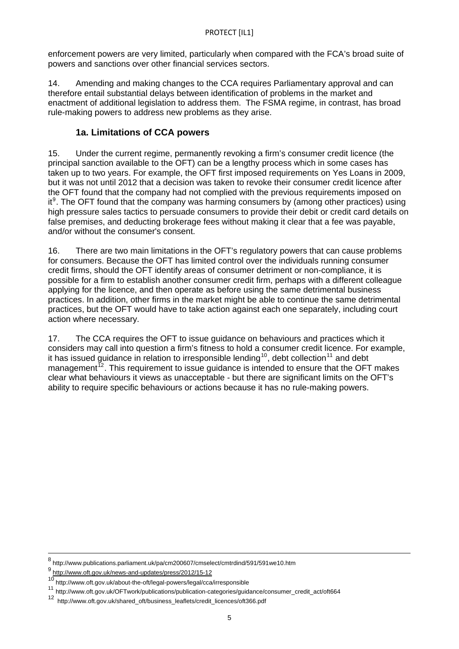enforcement powers are very limited, particularly when compared with the FCA's broad suite of powers and sanctions over other financial services sectors.

14. Amending and making changes to the CCA requires Parliamentary approval and can therefore entail substantial delays between identification of problems in the market and enactment of additional legislation to address them. The FSMA regime, in contrast, has broad rule-making powers to address new problems as they arise.

## **1a. Limitations of CCA powers**

15. Under the current regime, permanently revoking a firm's consumer credit licence (the principal sanction available to the OFT) can be a lengthy process which in some cases has taken up to two years. For example, the OFT first imposed requirements on Yes Loans in 2009, but it was not until 2012 that a decision was taken to revoke their consumer credit licence after the OFT found that the company had not complied with the previous requirements imposed on it<sup>[9](#page-3-1)</sup>. The OFT found that the company was harming consumers by (among other practices) using high pressure sales tactics to persuade consumers to provide their debit or credit card details on false premises, and deducting brokerage fees without making it clear that a fee was payable, and/or without the consumer's consent.

16. There are two main limitations in the OFT's regulatory powers that can cause problems for consumers. Because the OFT has limited control over the individuals running consumer credit firms, should the OFT identify areas of consumer detriment or non-compliance, it is possible for a firm to establish another consumer credit firm, perhaps with a different colleague applying for the licence, and then operate as before using the same detrimental business practices. In addition, other firms in the market might be able to continue the same detrimental practices, but the OFT would have to take action against each one separately, including court action where necessary.

17. The CCA requires the OFT to issue guidance on behaviours and practices which it considers may call into question a firm's fitness to hold a consumer credit licence. For example, it has issued guidance in relation to irresponsible lending<sup>[10](#page-4-0)</sup>, debt collection<sup>[11](#page-4-1)</sup> and debt management<sup> $12$ </sup>. This requirement to issue guidance is intended to ensure that the OFT makes clear what behaviours it views as unacceptable - but there are significant limits on the OFT's ability to require specific behaviours or actions because it has no rule-making powers.

<sup>8</sup> http://www.publications.parliament.uk/pa/cm200607/cmselect/cmtrdind/591/591we10.htm

<span id="page-4-3"></span><sup>9</sup> <http://www.oft.gov.uk/news-and-updates/press/2012/15-12><br><sup>9</sup> http://www.oft.gov.uk/about-the-oft/legal-powers/legal/cca/irresponsible

<span id="page-4-2"></span><span id="page-4-1"></span><span id="page-4-0"></span><sup>11</sup> http://www.oft.gov.uk/OFTwork/publications/publication-categories/guidance/consumer\_credit\_act/oft664<br>12 http://www.oft.gov.uk/obered.oft/businese.logflote/credit\_licences/oft266.pdf

http://www.oft.gov.uk/shared\_oft/business\_leaflets/credit\_licences/oft366.pdf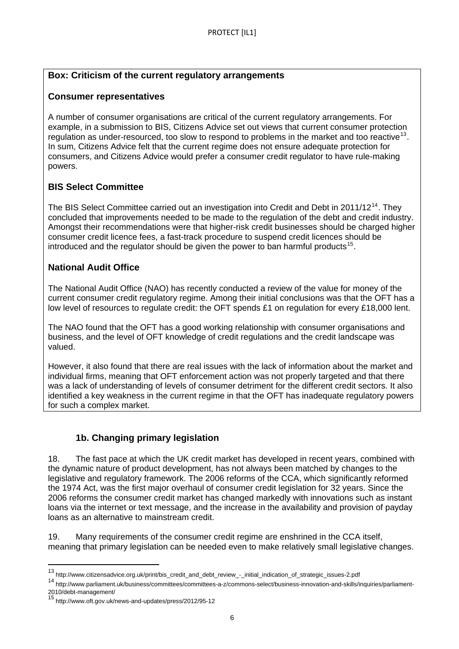## **Box: Criticism of the current regulatory arrangements**

## **Consumer representatives**

A number of consumer organisations are critical of the current regulatory arrangements. For example, in a submission to BIS, Citizens Advice set out views that current consumer protection regulation as under-resourced, too slow to respond to problems in the market and too reactive<sup>[13](#page-4-3)</sup>. In sum, Citizens Advice felt that the current regime does not ensure adequate protection for consumers, and Citizens Advice would prefer a consumer credit regulator to have rule-making powers.

## **BIS Select Committee**

The BIS Select Committee carried out an investigation into Credit and Debt in 2011/12<sup>[14](#page-5-0)</sup>. They concluded that improvements needed to be made to the regulation of the debt and credit industry. Amongst their recommendations were that higher-risk credit businesses should be charged higher consumer credit licence fees, a fast-track procedure to suspend credit licences should be introduced and the regulator should be given the power to ban harmful products<sup>[15](#page-5-1)</sup>.

## **National Audit Office**

The National Audit Office (NAO) has recently conducted a review of the value for money of the current consumer credit regulatory regime. Among their initial conclusions was that the OFT has a low level of resources to regulate credit: the OFT spends £1 on regulation for every £18,000 lent.

The NAO found that the OFT has a good working relationship with consumer organisations and business, and the level of OFT knowledge of credit regulations and the credit landscape was valued.

However, it also found that there are real issues with the lack of information about the market and individual firms, meaning that OFT enforcement action was not properly targeted and that there was a lack of understanding of levels of consumer detriment for the different credit sectors. It also identified a key weakness in the current regime in that the OFT has inadequate regulatory powers for such a complex market.

## **1b. Changing primary legislation**

18. The fast pace at which the UK credit market has developed in recent years, combined with the dynamic nature of product development, has not always been matched by changes to the legislative and regulatory framework. The 2006 reforms of the CCA, which significantly reformed the 1974 Act, was the first major overhaul of consumer credit legislation for 32 years. Since the 2006 reforms the consumer credit market has changed markedly with innovations such as instant loans via the internet or text message, and the increase in the availability and provision of payday loans as an alternative to mainstream credit.

<span id="page-5-2"></span>19. Many requirements of the consumer credit regime are enshrined in the CCA itself, meaning that primary legislation can be needed even to make relatively small legislative changes.

<sup>13</sup> http://www.citizensadvice.org.uk/print/bis\_credit\_and\_debt\_review\_-\_initial\_indication\_of\_strategic\_issues-2.pdf

<span id="page-5-0"></span><sup>14</sup> http://www.parliament.uk/business/committees/committees-a-z/commons-select/business-innovation-and-skills/inquiries/parliament-

<span id="page-5-1"></span><sup>2010/</sup>debt-management/<br><sup>15</sup> http://www.oft.gov.uk/news-and-updates/press/2012/95-12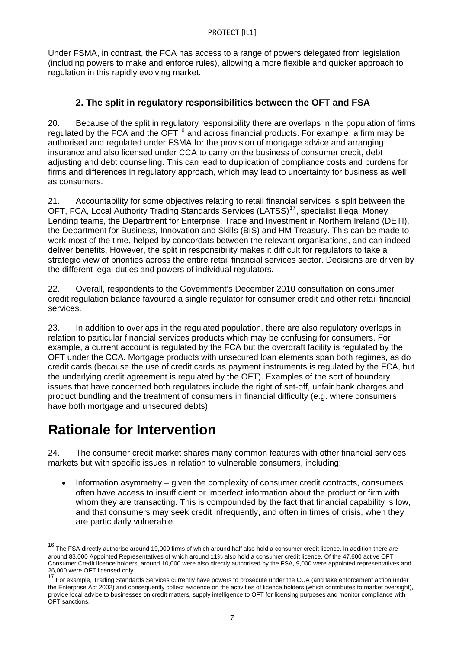Under FSMA, in contrast, the FCA has access to a range of powers delegated from legislation (including powers to make and enforce rules), allowing a more flexible and quicker approach to regulation in this rapidly evolving market.

## **2. The split in regulatory responsibilities between the OFT and FSA**

20. Because of the split in regulatory responsibility there are overlaps in the population of firms regulated by the FCA and the  $\overline{OFT}^{16}$  $\overline{OFT}^{16}$  $\overline{OFT}^{16}$  and across financial products. For example, a firm may be authorised and regulated under FSMA for the provision of mortgage advice and arranging insurance and also licensed under CCA to carry on the business of consumer credit, debt adjusting and debt counselling. This can lead to duplication of compliance costs and burdens for firms and differences in regulatory approach, which may lead to uncertainty for business as well as consumers.

21. Accountability for some objectives relating to retail financial services is split between the OFT, FCA, Local Authority Trading Standards Services (LATSS)<sup>[17](#page-6-0)</sup>, specialist Illegal Money Lending teams, the Department for Enterprise, Trade and Investment in Northern Ireland (DETI), the Department for Business, Innovation and Skills (BIS) and HM Treasury. This can be made to work most of the time, helped by concordats between the relevant organisations, and can indeed deliver benefits. However, the split in responsibility makes it difficult for regulators to take a strategic view of priorities across the entire retail financial services sector. Decisions are driven by the different legal duties and powers of individual regulators.

22. Overall, respondents to the Government's December 2010 consultation on consumer credit regulation balance favoured a single regulator for consumer credit and other retail financial services.

23. In addition to overlaps in the regulated population, there are also regulatory overlaps in relation to particular financial services products which may be confusing for consumers. For example, a current account is regulated by the FCA but the overdraft facility is regulated by the OFT under the CCA. Mortgage products with unsecured loan elements span both regimes, as do credit cards (because the use of credit cards as payment instruments is regulated by the FCA, but the underlying credit agreement is regulated by the OFT). Examples of the sort of boundary issues that have concerned both regulators include the right of set-off, unfair bank charges and product bundling and the treatment of consumers in financial difficulty (e.g. where consumers have both mortgage and unsecured debts).

## **Rationale for Intervention**

 $\overline{a}$ 

24. The consumer credit market shares many common features with other financial services markets but with specific issues in relation to vulnerable consumers, including:

• Information asymmetry – given the complexity of consumer credit contracts, consumers often have access to insufficient or imperfect information about the product or firm with whom they are transacting. This is compounded by the fact that financial capability is low, and that consumers may seek credit infrequently, and often in times of crisis, when they are particularly vulnerable.

<sup>&</sup>lt;sup>16</sup> The FSA directly authorise around 19,000 firms of which around half also hold a consumer credit licence. In addition there are around 83,000 Appointed Representatives of which around 11% also hold a consumer credit licence. Of the 47,600 active OFT Consumer Credit licence holders, around 10,000 were also directly authorised by the FSA, 9,000 were appointed representatives and 26,000 were OFT licensed only.

<span id="page-6-1"></span><span id="page-6-0"></span><sup>&</sup>lt;sup>17</sup> For example, Trading Standards Services currently have powers to prosecute under the CCA (and take enforcement action under the Enterprise Act 2002) and consequently collect evidence on the activities of licence holders (which contributes to market oversight), provide local advice to businesses on credit matters, supply intelligence to OFT for licensing purposes and monitor compliance with OFT sanctions.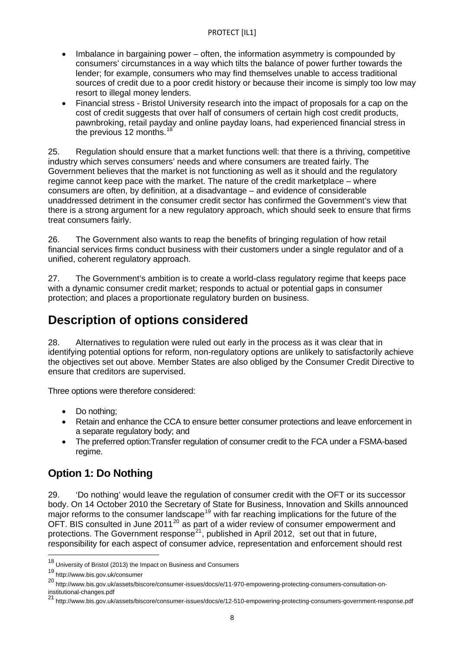- Imbalance in bargaining power often, the information asymmetry is compounded by consumers' circumstances in a way which tilts the balance of power further towards the lender; for example, consumers who may find themselves unable to access traditional sources of credit due to a poor credit history or because their income is simply too low may resort to illegal money lenders.
- Financial stress Bristol University research into the impact of proposals for a cap on the cost of credit suggests that over half of consumers of certain high cost credit products, pawnbroking, retail payday and online payday loans, had experienced financial stress in the previous 12 months. $18$

25. Regulation should ensure that a market functions well: that there is a thriving, competitive industry which serves consumers' needs and where consumers are treated fairly. The Government believes that the market is not functioning as well as it should and the regulatory regime cannot keep pace with the market. The nature of the credit marketplace – where consumers are often, by definition, at a disadvantage – and evidence of considerable unaddressed detriment in the consumer credit sector has confirmed the Government's view that there is a strong argument for a new regulatory approach, which should seek to ensure that firms treat consumers fairly.

26. The Government also wants to reap the benefits of bringing regulation of how retail financial services firms conduct business with their customers under a single regulator and of a unified, coherent regulatory approach.

27. The Government's ambition is to create a world-class regulatory regime that keeps pace with a dynamic consumer credit market; responds to actual or potential gaps in consumer protection; and places a proportionate regulatory burden on business.

## **Description of options considered**

28. Alternatives to regulation were ruled out early in the process as it was clear that in identifying potential options for reform, non-regulatory options are unlikely to satisfactorily achieve the objectives set out above. Member States are also obliged by the Consumer Credit Directive to ensure that creditors are supervised.

Three options were therefore considered:

- Do nothing;
- Retain and enhance the CCA to ensure better consumer protections and leave enforcement in a separate regulatory body; and
- The preferred option:Transfer regulation of consumer credit to the FCA under a FSMA-based regime.

## **Option 1: Do Nothing**

29. 'Do nothing' would leave the regulation of consumer credit with the OFT or its successor body. On 14 October 2010 the Secretary of State for Business, Innovation and Skills announced major reforms to the consumer landscape<sup>[19](#page-7-0)</sup> with far reaching implications for the future of the OFT. BIS consulted in June [20](#page-7-1)11<sup>20</sup> as part of a wider review of consumer empowerment and protections. The Government response<sup>[21](#page-7-2)</sup>, published in April 2012, set out that in future, responsibility for each aspect of consumer advice, representation and enforcement should rest

<sup>&</sup>lt;sup>18</sup> University of Bristol (2013) the Impact on Business and Consumers

<span id="page-7-0"></span><sup>19</sup> http://www.bis.gov.uk/consumer

<span id="page-7-3"></span><span id="page-7-1"></span><sup>20</sup> http://www.bis.gov.uk/assets/biscore/consumer-issues/docs/e/11-970-empowering-protecting-consumers-consultation-on-

<span id="page-7-2"></span>institutional-changes.pdf<br><sup>21</sup> http://www.bis.gov.uk/assets/biscore/consumer-issues/docs/e/12-510-empowering-protecting-consumers-government-response.pdf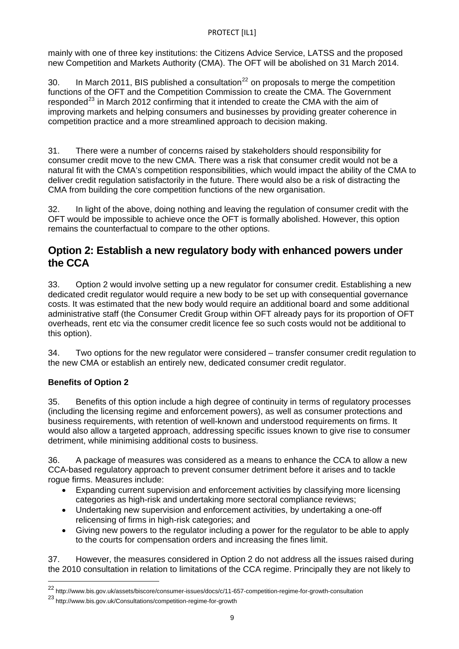mainly with one of three key institutions: the Citizens Advice Service, LATSS and the proposed new Competition and Markets Authority (CMA). The OFT will be abolished on 31 March 2014.

30. In March 2011, BIS published a consultation<sup>[22](#page-7-3)</sup> on proposals to merge the competition functions of the OFT and the Competition Commission to create the CMA. The Government responded<sup>[23](#page-8-0)</sup> in March 2012 confirming that it intended to create the CMA with the aim of improving markets and helping consumers and businesses by providing greater coherence in competition practice and a more streamlined approach to decision making.

31. There were a number of concerns raised by stakeholders should responsibility for consumer credit move to the new CMA. There was a risk that consumer credit would not be a natural fit with the CMA's competition responsibilities, which would impact the ability of the CMA to deliver credit regulation satisfactorily in the future. There would also be a risk of distracting the CMA from building the core competition functions of the new organisation.

32. In light of the above, doing nothing and leaving the regulation of consumer credit with the OFT would be impossible to achieve once the OFT is formally abolished. However, this option remains the counterfactual to compare to the other options.

## **Option 2: Establish a new regulatory body with enhanced powers under the CCA**

33. Option 2 would involve setting up a new regulator for consumer credit. Establishing a new dedicated credit regulator would require a new body to be set up with consequential governance costs. It was estimated that the new body would require an additional board and some additional administrative staff (the Consumer Credit Group within OFT already pays for its proportion of OFT overheads, rent etc via the consumer credit licence fee so such costs would not be additional to this option).

34. Two options for the new regulator were considered – transfer consumer credit regulation to the new CMA or establish an entirely new, dedicated consumer credit regulator.

## **Benefits of Option 2**

 $\overline{a}$ 

35. Benefits of this option include a high degree of continuity in terms of regulatory processes (including the licensing regime and enforcement powers), as well as consumer protections and business requirements, with retention of well-known and understood requirements on firms. It would also allow a targeted approach, addressing specific issues known to give rise to consumer detriment, while minimising additional costs to business.

36. A package of measures was considered as a means to enhance the CCA to allow a new CCA-based regulatory approach to prevent consumer detriment before it arises and to tackle rogue firms. Measures include:

- Expanding current supervision and enforcement activities by classifying more licensing categories as high-risk and undertaking more sectoral compliance reviews;
- Undertaking new supervision and enforcement activities, by undertaking a one-off relicensing of firms in high-risk categories; and
- Giving new powers to the regulator including a power for the regulator to be able to apply to the courts for compensation orders and increasing the fines limit.

<span id="page-8-1"></span>37. However, the measures considered in Option 2 do not address all the issues raised during the 2010 consultation in relation to limitations of the CCA regime. Principally they are not likely to

<sup>22</sup> http://www.bis.gov.uk/assets/biscore/consumer-issues/docs/c/11-657-competition-regime-for-growth-consultation

<span id="page-8-0"></span><sup>23</sup> http://www.bis.gov.uk/Consultations/competition-regime-for-growth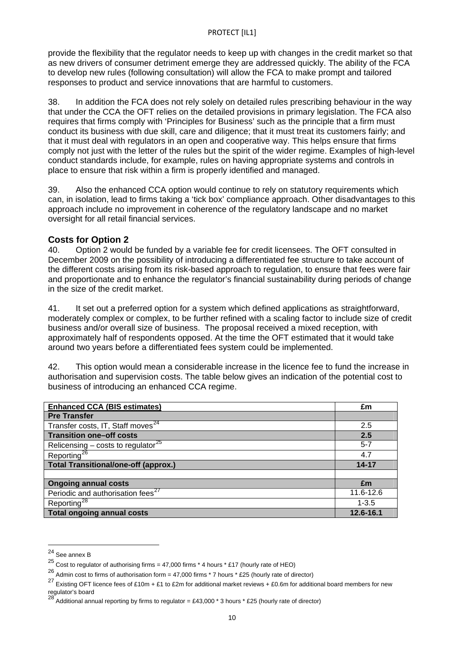provide the flexibility that the regulator needs to keep up with changes in the credit market so that as new drivers of consumer detriment emerge they are addressed quickly. The ability of the FCA to develop new rules (following consultation) will allow the FCA to make prompt and tailored responses to product and service innovations that are harmful to customers.

38. In addition the FCA does not rely solely on detailed rules prescribing behaviour in the way that under the CCA the OFT relies on the detailed provisions in primary legislation. The FCA also requires that firms comply with 'Principles for Business' such as the principle that a firm must conduct its business with due skill, care and diligence; that it must treat its customers fairly; and that it must deal with regulators in an open and cooperative way. This helps ensure that firms comply not just with the letter of the rules but the spirit of the wider regime. Examples of high-level conduct standards include, for example, rules on having appropriate systems and controls in place to ensure that risk within a firm is properly identified and managed.

39. Also the enhanced CCA option would continue to rely on statutory requirements which can, in isolation, lead to firms taking a 'tick box' compliance approach. Other disadvantages to this approach include no improvement in coherence of the regulatory landscape and no market oversight for all retail financial services.

### **Costs for Option 2**

40. Option 2 would be funded by a variable fee for credit licensees. The OFT consulted in December 2009 on the possibility of introducing a differentiated fee structure to take account of the different costs arising from its risk-based approach to regulation, to ensure that fees were fair and proportionate and to enhance the regulator's financial sustainability during periods of change in the size of the credit market.

41. It set out a preferred option for a system which defined applications as straightforward, moderately complex or complex, to be further refined with a scaling factor to include size of credit business and/or overall size of business. The proposal received a mixed reception, with approximately half of respondents opposed. At the time the OFT estimated that it would take around two years before a differentiated fees system could be implemented.

42. This option would mean a considerable increase in the licence fee to fund the increase in authorisation and supervision costs. The table below gives an indication of the potential cost to business of introducing an enhanced CCA regime.

| <b>Enhanced CCA (BIS estimates)</b>            | £m        |
|------------------------------------------------|-----------|
| <b>Pre Transfer</b>                            |           |
| Transfer costs, IT, Staff moves <sup>24</sup>  | 2.5       |
| <b>Transition one-off costs</b>                | 2.5       |
| Relicensing – costs to regulator <sup>25</sup> | $5 - 7$   |
| Reporting <sup>26</sup>                        | 4.7       |
| <b>Total Transitional/one-off (approx.)</b>    | $14 - 17$ |
|                                                |           |
| <b>Ongoing annual costs</b>                    | £m        |
| Periodic and authorisation fees <sup>27</sup>  | 11.6-12.6 |
| Reporting <sup>28</sup>                        | $1 - 3.5$ |
| <b>Total ongoing annual costs</b>              | 12.6-16.1 |

<sup>24</sup> See annex B

<span id="page-9-0"></span><sup>25</sup> Cost to regulator of authorising firms = 47,000 firms \* 4 hours \* £17 (hourly rate of HEO)

<span id="page-9-1"></span><sup>26</sup> Admin cost to firms of authorisation form = 47,000 firms \* 7 hours \* £25 (hourly rate of director)

<span id="page-9-4"></span><span id="page-9-2"></span><sup>27</sup> Existing OFT licence fees of £10m + £1 to £2m for additional market reviews + £0.6m for additional board members for new regulator's board<br><sup>28</sup> Additional annual reporting by firms to regulator = £43,000 \* 3 hours \* £25 (hourly rate of director)

<span id="page-9-3"></span>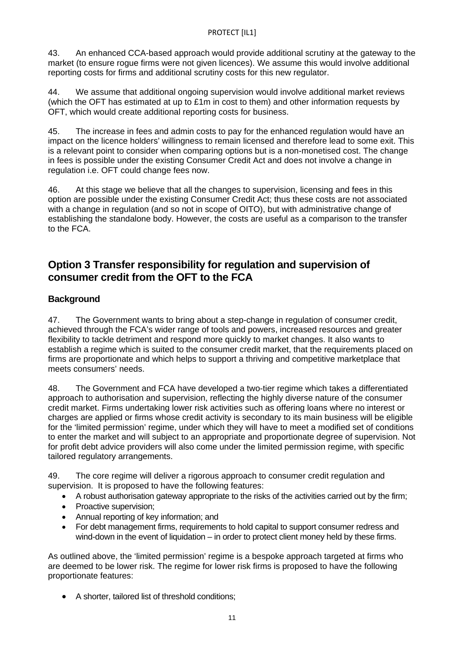43. An enhanced CCA-based approach would provide additional scrutiny at the gateway to the market (to ensure rogue firms were not given licences). We assume this would involve additional reporting costs for firms and additional scrutiny costs for this new regulator.

44. We assume that additional ongoing supervision would involve additional market reviews (which the OFT has estimated at up to  $£1m$  in cost to them) and other information requests by OFT, which would create additional reporting costs for business.

45. The increase in fees and admin costs to pay for the enhanced regulation would have an impact on the licence holders' willingness to remain licensed and therefore lead to some exit. This is a relevant point to consider when comparing options but is a non-monetised cost. The change in fees is possible under the existing Consumer Credit Act and does not involve a change in regulation i.e. OFT could change fees now.

46. At this stage we believe that all the changes to supervision, licensing and fees in this option are possible under the existing Consumer Credit Act; thus these costs are not associated with a change in regulation (and so not in scope of OITO), but with administrative change of establishing the standalone body. However, the costs are useful as a comparison to the transfer to the FCA.

## **Option 3 Transfer responsibility for regulation and supervision of consumer credit from the OFT to the FCA**

## **Background**

47. The Government wants to bring about a step-change in regulation of consumer credit, achieved through the FCA's wider range of tools and powers, increased resources and greater flexibility to tackle detriment and respond more quickly to market changes. It also wants to establish a regime which is suited to the consumer credit market, that the requirements placed on firms are proportionate and which helps to support a thriving and competitive marketplace that meets consumers' needs.

48. The Government and FCA have developed a two-tier regime which takes a differentiated approach to authorisation and supervision, reflecting the highly diverse nature of the consumer credit market. Firms undertaking lower risk activities such as offering loans where no interest or charges are applied or firms whose credit activity is secondary to its main business will be eligible for the 'limited permission' regime, under which they will have to meet a modified set of conditions to enter the market and will subject to an appropriate and proportionate degree of supervision. Not for profit debt advice providers will also come under the limited permission regime, with specific tailored regulatory arrangements.

49. The core regime will deliver a rigorous approach to consumer credit regulation and supervision.It is proposed to have the following features:

- A robust authorisation gateway appropriate to the risks of the activities carried out by the firm;
- Proactive supervision:
- Annual reporting of key information; and
- For debt management firms, requirements to hold capital to support consumer redress and wind-down in the event of liquidation – in order to protect client money held by these firms.

As outlined above, the 'limited permission' regime is a bespoke approach targeted at firms who are deemed to be lower risk. The regime for lower risk firms is proposed to have the following proportionate features:

A shorter, tailored list of threshold conditions;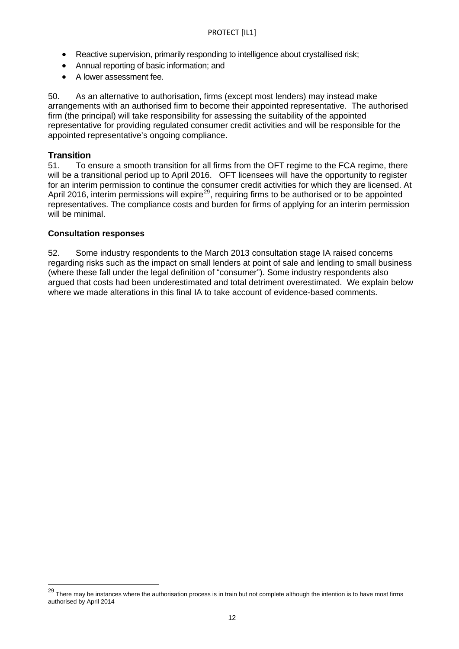- Reactive supervision, primarily responding to intelligence about crystallised risk;
- Annual reporting of basic information; and
- A lower assessment fee.

50. As an alternative to authorisation, firms (except most lenders) may instead make arrangements with an authorised firm to become their appointed representative. The authorised firm (the principal) will take responsibility for assessing the suitability of the appointed representative for providing regulated consumer credit activities and will be responsible for the appointed representative's ongoing compliance.

### **Transition**

<span id="page-11-0"></span> $\overline{a}$ 

51. To ensure a smooth transition for all firms from the OFT regime to the FCA regime, there will be a transitional period up to April 2016. OFT licensees will have the opportunity to register for an interim permission to continue the consumer credit activities for which they are licensed. At April 2016, interim permissions will expire<sup>[29](#page-9-4)</sup>, requiring firms to be authorised or to be appointed representatives. The compliance costs and burden for firms of applying for an interim permission will be minimal.

#### **Consultation responses**

52. Some industry respondents to the March 2013 consultation stage IA raised concerns regarding risks such as the impact on small lenders at point of sale and lending to small business (where these fall under the legal definition of "consumer"). Some industry respondents also argued that costs had been underestimated and total detriment overestimated. We explain below where we made alterations in this final IA to take account of evidence-based comments.

 $29$  There may be instances where the authorisation process is in train but not complete although the intention is to have most firms authorised by April 2014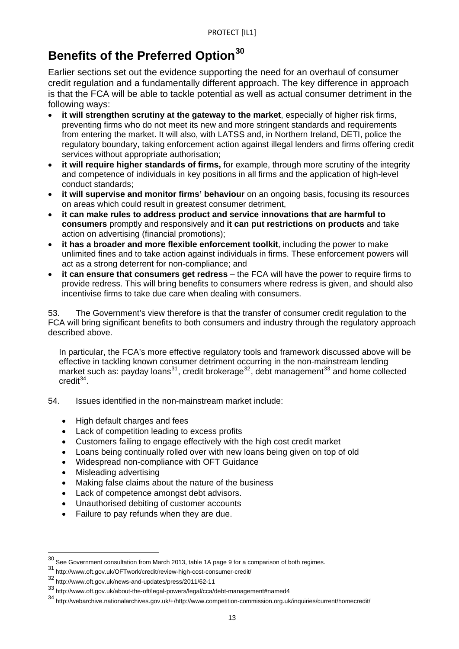## **Benefits of the Preferred Option[30](#page-11-0)**

Earlier sections set out the evidence supporting the need for an overhaul of consumer credit regulation and a fundamentally different approach. The key difference in approach is that the FCA will be able to tackle potential as well as actual consumer detriment in the following ways:

- **it will strengthen scrutiny at the gateway to the market**, especially of higher risk firms, preventing firms who do not meet its new and more stringent standards and requirements from entering the market. It will also, with LATSS and, in Northern Ireland, DETI, police the regulatory boundary, taking enforcement action against illegal lenders and firms offering credit services without appropriate authorisation;
- **it will require higher standards of firms,** for example, through more scrutiny of the integrity and competence of individuals in key positions in all firms and the application of high-level conduct standards;
- **it will supervise and monitor firms' behaviour** on an ongoing basis, focusing its resources on areas which could result in greatest consumer detriment,
- **it can make rules to address product and service innovations that are harmful to consumers** promptly and responsively and **it can put restrictions on products** and take action on advertising (financial promotions);
- **it has a broader and more flexible enforcement toolkit**, including the power to make unlimited fines and to take action against individuals in firms. These enforcement powers will act as a strong deterrent for non-compliance; and
- **it can ensure that consumers get redress** the FCA will have the power to require firms to provide redress. This will bring benefits to consumers where redress is given, and should also incentivise firms to take due care when dealing with consumers.

53. The Government's view therefore is that the transfer of consumer credit regulation to the FCA will bring significant benefits to both consumers and industry through the regulatory approach described above.

In particular, the FCA's more effective regulatory tools and framework discussed above will be effective in tackling known consumer detriment occurring in the non-mainstream lending market such as: payday loans<sup>[31](#page-12-0)</sup>, credit brokerage<sup>[32](#page-12-1)</sup>, debt management<sup>[33](#page-12-2)</sup> and home collected  $\text{credit}^{34}$  $\text{credit}^{34}$  $\text{credit}^{34}$ .

- 54. Issues identified in the non-mainstream market include:
	- High default charges and fees
	- Lack of competition leading to excess profits
	- Customers failing to engage effectively with the high cost credit market
	- Loans being continually rolled over with new loans being given on top of old
	- Widespread non-compliance with OFT Guidance
	- Misleading advertising

- Making false claims about the nature of the business
- Lack of competence amongst debt advisors.
- Unauthorised debiting of customer accounts
- Failure to pay refunds when they are due.

 $30$  See Government consultation from March 2013, table 1A page 9 for a comparison of both regimes.

<span id="page-12-0"></span><sup>31</sup> http://www.oft.gov.uk/OFTwork/credit/review-high-cost-consumer-credit/

<span id="page-12-1"></span><sup>32</sup> http://www.oft.gov.uk/news-and-updates/press/2011/62-11

<span id="page-12-2"></span><sup>33</sup> http://www.oft.gov.uk/about-the-oft/legal-powers/legal/cca/debt-management#named4

<span id="page-12-3"></span><sup>34</sup> http://webarchive.nationalarchives.gov.uk/+/http://www.competition-commission.org.uk/inquiries/current/homecredit/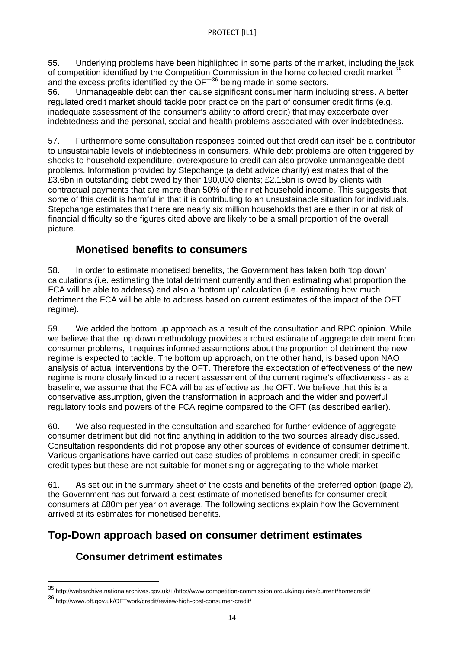55. Underlying problems have been highlighted in some parts of the market, including the lack of competition identified by the Competition Commission in the home collected credit market <sup>[35](#page-12-2)</sup> and the excess profits identified by the OFT<sup>[36](#page-13-0)</sup> being made in some sectors.

56. Unmanageable debt can then cause significant consumer harm including stress. A better regulated credit market should tackle poor practice on the part of consumer credit firms (e.g. inadequate assessment of the consumer's ability to afford credit) that may exacerbate over indebtedness and the personal, social and health problems associated with over indebtedness.

57. Furthermore some consultation responses pointed out that credit can itself be a contributor to unsustainable levels of indebtedness in consumers. While debt problems are often triggered by shocks to household expenditure, overexposure to credit can also provoke unmanageable debt problems. Information provided by Stepchange (a debt advice charity) estimates that of the £3.6bn in outstanding debt owed by their 190,000 clients; £2.15bn is owed by clients with contractual payments that are more than 50% of their net household income. This suggests that some of this credit is harmful in that it is contributing to an unsustainable situation for individuals. Stepchange estimates that there are nearly six million households that are either in or at risk of financial difficulty so the figures cited above are likely to be a small proportion of the overall picture.

## **Monetised benefits to consumers**

58. In order to estimate monetised benefits, the Government has taken both 'top down' calculations (i.e. estimating the total detriment currently and then estimating what proportion the FCA will be able to address) and also a 'bottom up' calculation (i.e. estimating how much detriment the FCA will be able to address based on current estimates of the impact of the OFT regime).

59. We added the bottom up approach as a result of the consultation and RPC opinion. While we believe that the top down methodology provides a robust estimate of aggregate detriment from consumer problems, it requires informed assumptions about the proportion of detriment the new regime is expected to tackle. The bottom up approach, on the other hand, is based upon NAO analysis of actual interventions by the OFT. Therefore the expectation of effectiveness of the new regime is more closely linked to a recent assessment of the current regime's effectiveness - as a baseline, we assume that the FCA will be as effective as the OFT. We believe that this is a conservative assumption, given the transformation in approach and the wider and powerful regulatory tools and powers of the FCA regime compared to the OFT (as described earlier).

60. We also requested in the consultation and searched for further evidence of aggregate consumer detriment but did not find anything in addition to the two sources already discussed. Consultation respondents did not propose any other sources of evidence of consumer detriment. Various organisations have carried out case studies of problems in consumer credit in specific credit types but these are not suitable for monetising or aggregating to the whole market.

61. As set out in the summary sheet of the costs and benefits of the preferred option (page 2), the Government has put forward a best estimate of monetised benefits for consumer credit consumers at £80m per year on average. The following sections explain how the Government arrived at its estimates for monetised benefits.

## **Top-Down approach based on consumer detriment estimates**

## **Consumer detriment estimates**

<span id="page-13-1"></span><sup>35</sup> http://webarchive.nationalarchives.gov.uk/+/http://www.competition-commission.org.uk/inquiries/current/homecredit/

<span id="page-13-0"></span><sup>36</sup> http://www.oft.gov.uk/OFTwork/credit/review-high-cost-consumer-credit/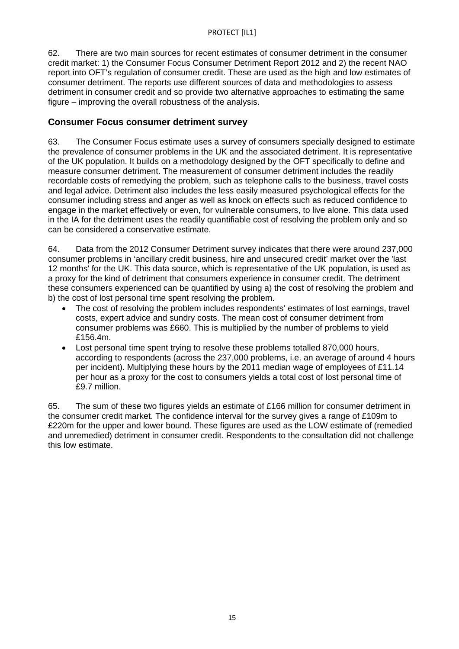62. There are two main sources for recent estimates of consumer detriment in the consumer credit market: 1) the Consumer Focus Consumer Detriment Report 2012 and 2) the recent NAO report into OFT's regulation of consumer credit. These are used as the high and low estimates of consumer detriment. The reports use different sources of data and methodologies to assess detriment in consumer credit and so provide two alternative approaches to estimating the same figure – improving the overall robustness of the analysis.

### **Consumer Focus consumer detriment survey**

63. The Consumer Focus estimate uses a survey of consumers specially designed to estimate the prevalence of consumer problems in the UK and the associated detriment. It is representative of the UK population. It builds on a methodology designed by the OFT specifically to define and measure consumer detriment. The measurement of consumer detriment includes the readily recordable costs of remedying the problem, such as telephone calls to the business, travel costs and legal advice. Detriment also includes the less easily measured psychological effects for the consumer including stress and anger as well as knock on effects such as reduced confidence to engage in the market effectively or even, for vulnerable consumers, to live alone. This data used in the IA for the detriment uses the readily quantifiable cost of resolving the problem only and so can be considered a conservative estimate.

64. Data from the 2012 Consumer Detriment survey indicates that there were around 237,000 consumer problems in 'ancillary credit business, hire and unsecured credit' market over the 'last 12 months' for the UK. This data source, which is representative of the UK population, is used as a proxy for the kind of detriment that consumers experience in consumer credit. The detriment these consumers experienced can be quantified by using a) the cost of resolving the problem and b) the cost of lost personal time spent resolving the problem.

- The cost of resolving the problem includes respondents' estimates of lost earnings, travel costs, expert advice and sundry costs. The mean cost of consumer detriment from consumer problems was £660. This is multiplied by the number of problems to yield £156.4m.
- Lost personal time spent trying to resolve these problems totalled 870,000 hours, according to respondents (across the 237,000 problems, i.e. an average of around 4 hours per incident). Multiplying these hours by the 2011 median wage of employees of £11.14 per hour as a proxy for the cost to consumers yields a total cost of lost personal time of £9.7 million.

65. The sum of these two figures yields an estimate of £166 million for consumer detriment in the consumer credit market. The confidence interval for the survey gives a range of £109m to £220m for the upper and lower bound. These figures are used as the LOW estimate of (remedied and unremedied) detriment in consumer credit. Respondents to the consultation did not challenge this low estimate.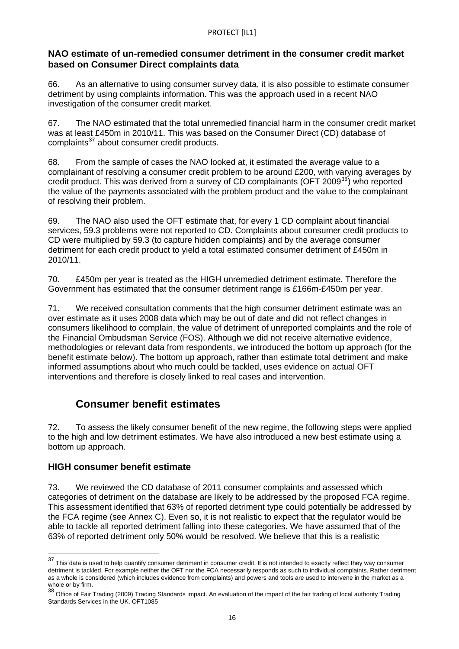### **NAO estimate of un-remedied consumer detriment in the consumer credit market based on Consumer Direct complaints data**

66. As an alternative to using consumer survey data, it is also possible to estimate consumer detriment by using complaints information. This was the approach used in a recent NAO investigation of the consumer credit market.

67. The NAO estimated that the total unremedied financial harm in the consumer credit market was at least £450m in 2010/11. This was based on the Consumer Direct (CD) database of complaints<sup>[37](#page-13-1)</sup> about consumer credit products.

of resolving their problem. 68. From the sample of cases the NAO looked at, it estimated the average value to a complainant of resolving a consumer credit problem to be around £200, with varying averages by credit product. This was derived from a survey of CD complainants (OFT 2009<sup>[38](#page-15-0)</sup>) who reported the value of the payments associated with the problem product and the value to the complainant

69. The NAO also used the OFT estimate that, for every 1 CD complaint about financial services, 59.3 problems were not reported to CD. Complaints about consumer credit products to CD were multiplied by 59.3 (to capture hidden complaints) and by the average consumer detriment for each credit product to yield a total estimated consumer detriment of £450m in 2010/11.

70. £450m per year is treated as the HIGH unremedied detriment estimate. Therefore the Government has estimated that the consumer detriment range is £166m-£450m per year.

71. We received consultation comments that the high consumer detriment estimate was an over estimate as it uses 2008 data which may be out of date and did not reflect changes in consumers likelihood to complain, the value of detriment of unreported complaints and the role of the Financial Ombudsman Service (FOS). Although we did not receive alternative evidence, methodologies or relevant data from respondents, we introduced the bottom up approach (for the benefit estimate below). The bottom up approach, rather than estimate total detriment and make informed assumptions about who much could be tackled, uses evidence on actual OFT interventions and therefore is closely linked to real cases and intervention.

## **Consumer benefit estimates**

72. To assess the likely consumer benefit of the new regime, the following steps were applied to the high and low detriment estimates. We have also introduced a new best estimate using a bottom up approach.

## **HIGH consumer benefit estimate**

 $\overline{a}$ 

73. We reviewed the CD database of 2011 consumer complaints and assessed which categories of detriment on the database are likely to be addressed by the proposed FCA regime. This assessment identified that 63% of reported detriment type could potentially be addressed by the FCA regime (see Annex C). Even so, it is not realistic to expect that the regulator would be able to tackle all reported detriment falling into these categories. We have assumed that of the 63% of reported detriment only 50% would be resolved. We believe that this is a realistic

<sup>&</sup>lt;sup>37</sup> This data is used to help quantify consumer detriment in consumer credit. It is not intended to exactly reflect they way consumer detriment is tackled. For example neither the OFT nor the FCA necessarily responds as such to individual complaints. Rather detriment as a whole is considered (which includes evidence from complaints) and powers and tools are used to intervene in the market as a

<span id="page-15-1"></span><span id="page-15-0"></span>whole or by firm.<br><sup>38</sup> Office of Fair Trading (2009) Trading Standards impact. An evaluation of the impact of the fair trading of local authority Trading Standards Services in the UK. OFT1085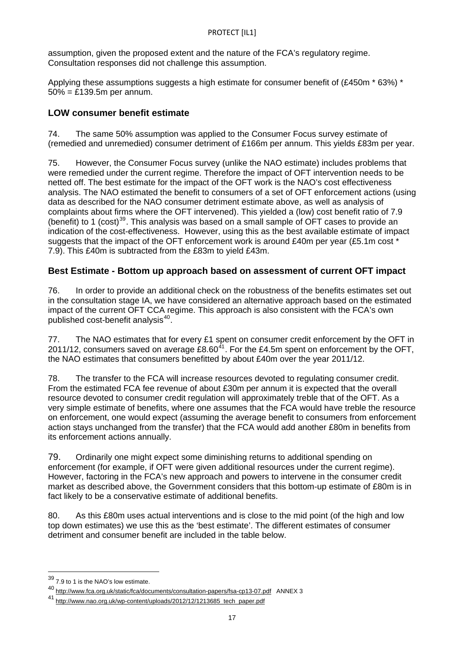assumption, given the proposed extent and the nature of the FCA's regulatory regime. Consultation responses did not challenge this assumption.

Applying these assumptions suggests a high estimate for consumer benefit of (£450m  $*$  63%)  $*$ 50% = £139.5m per annum.

## **LOW consumer benefit estimate**

74. The same 50% assumption was applied to the Consumer Focus survey estimate of (remedied and unremedied) consumer detriment of £166m per annum. This yields £83m per year.

75. However, the Consumer Focus survey (unlike the NAO estimate) includes problems that were remedied under the current regime. Therefore the impact of OFT intervention needs to be netted off. The best estimate for the impact of the OFT work is the NAO's cost effectiveness analysis. The NAO estimated the benefit to consumers of a set of OFT enforcement actions (using data as described for the NAO consumer detriment estimate above, as well as analysis of complaints about firms where the OFT intervened). This yielded a (low) cost benefit ratio of 7.9 (benefit) to 1 (cost)<sup>[39](#page-15-1)</sup>. This analysis was based on a small sample of OFT cases to provide an indication of the cost-effectiveness. However, using this as the best available estimate of impact suggests that the impact of the OFT enforcement work is around £40m per year (£5.1m cost \* 7.9). This £40m is subtracted from the £83m to yield £43m.

## **Best Estimate - Bottom up approach based on assessment of current OFT impact**

76. In order to provide an additional check on the robustness of the benefits estimates set out in the consultation stage IA, we have considered an alternative approach based on the estimated impact of the current OFT CCA regime. This approach is also consistent with the FCA's own published cost-benefit analysis<sup>[40](#page-16-0)</sup>.

77. The NAO estimates that for every  $£1$  spent on consumer credit enforcement by the OFT in 2011/12, consumers saved on average  $£8.60^{41}$  $£8.60^{41}$  $£8.60^{41}$ . For the £4.5m spent on enforcement by the OFT, the NAO estimates that consumers benefitted by about £40m over the year 2011/12.

78. The transfer to the FCA will increase resources devoted to regulating consumer credit. From the estimated FCA fee revenue of about £30m per annum it is expected that the overall resource devoted to consumer credit regulation will approximately treble that of the OFT. As a very simple estimate of benefits, where one assumes that the FCA would have treble the resource on enforcement, one would expect (assuming the average benefit to consumers from enforcement action stays unchanged from the transfer) that the FCA would add another £80m in benefits from its enforcement actions annually.

79. Ordinarily one might expect some diminishing returns to additional spending on enforcement (for example, if OFT were given additional resources under the current regime). However, factoring in the FCA's new approach and powers to intervene in the consumer credit market as described above, the Government considers that this bottom-up estimate of £80m is in fact likely to be a conservative estimate of additional benefits.

80. As this £80m uses actual interventions and is close to the mid point (of the high and low top down estimates) we use this as the 'best estimate'. The different estimates of consumer detriment and consumer benefit are included in the table below.

 $39$  7.9 to 1 is the NAO's low estimate.

<span id="page-16-0"></span><sup>40</sup> <http://www.fca.org.uk/static/fca/documents/consultation-papers/fsa-cp13-07.pdf> ANNEX 3

<span id="page-16-1"></span><sup>41</sup> [http://www.nao.org.uk/wp-content/uploads/2012/12/1213685\\_tech\\_paper.pdf](http://www.nao.org.uk/wp-content/uploads/2012/12/1213685_tech_paper.pdf)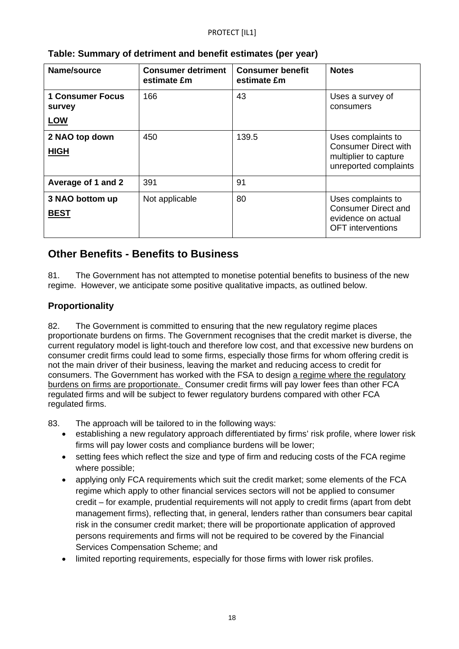| Name/source                              | <b>Consumer detriment</b><br>estimate £m | <b>Consumer benefit</b><br>estimate £m | <b>Notes</b>                                                                                        |
|------------------------------------------|------------------------------------------|----------------------------------------|-----------------------------------------------------------------------------------------------------|
| <b>1 Consumer Focus</b><br><b>survey</b> | 166                                      | 43                                     | Uses a survey of<br>consumers                                                                       |
| <b>LOW</b>                               |                                          |                                        |                                                                                                     |
| 2 NAO top down<br><b>HIGH</b>            | 450                                      | 139.5                                  | Uses complaints to<br><b>Consumer Direct with</b><br>multiplier to capture<br>unreported complaints |
| Average of 1 and 2                       | 391                                      | 91                                     |                                                                                                     |
| 3 NAO bottom up<br><b>BEST</b>           | Not applicable                           | 80                                     | Uses complaints to<br><b>Consumer Direct and</b><br>evidence on actual<br><b>OFT</b> interventions  |

## **Table: Summary of detriment and benefit estimates (per year)**

## **Other Benefits - Benefits to Business**

81. The Government has not attempted to monetise potential benefits to business of the new regime. However, we anticipate some positive qualitative impacts, as outlined below.

## **Proportionality**

82. The Government is committed to ensuring that the new regulatory regime places proportionate burdens on firms. The Government recognises that the credit market is diverse, the current regulatory model is light-touch and therefore low cost, and that excessive new burdens on consumer credit firms could lead to some firms, especially those firms for whom offering credit is not the main driver of their business, leaving the market and reducing access to credit for consumers. The Government has worked with the FSA to design a regime where the regulatory burdens on firms are proportionate. Consumer credit firms will pay lower fees than other FCA regulated firms and will be subject to fewer regulatory burdens compared with other FCA regulated firms.

83. The approach will be tailored to in the following ways:

- establishing a new regulatory approach differentiated by firms' risk profile, where lower risk firms will pay lower costs and compliance burdens will be lower;
- setting fees which reflect the size and type of firm and reducing costs of the FCA regime where possible;
- applying only FCA requirements which suit the credit market; some elements of the FCA regime which apply to other financial services sectors will not be applied to consumer credit – for example, prudential requirements will not apply to credit firms (apart from debt management firms), reflecting that, in general, lenders rather than consumers bear capital risk in the consumer credit market; there will be proportionate application of approved persons requirements and firms will not be required to be covered by the Financial Services Compensation Scheme; and
- limited reporting requirements, especially for those firms with lower risk profiles.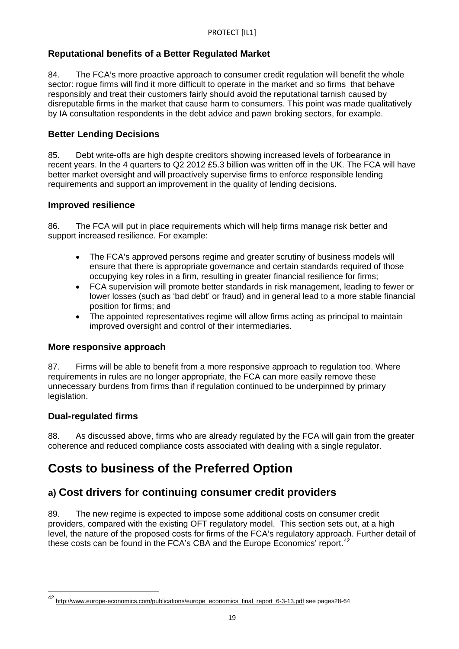## **Reputational benefits of a Better Regulated Market**

84. The FCA's more proactive approach to consumer credit regulation will benefit the whole sector: rogue firms will find it more difficult to operate in the market and so firms that behave responsibly and treat their customers fairly should avoid the reputational tarnish caused by disreputable firms in the market that cause harm to consumers. This point was made qualitatively by IA consultation respondents in the debt advice and pawn broking sectors, for example.

## **Better Lending Decisions**

85. Debt write-offs are high despite creditors showing increased levels of forbearance in recent years. In the 4 quarters to Q2 2012 £5.3 billion was written off in the UK. The FCA will have better market oversight and will proactively supervise firms to enforce responsible lending requirements and support an improvement in the quality of lending decisions.

## **Improved resilience**

86. The FCA will put in place requirements which will help firms manage risk better and support increased resilience. For example:

- The FCA's approved persons regime and greater scrutiny of business models will ensure that there is appropriate governance and certain standards required of those occupying key roles in a firm, resulting in greater financial resilience for firms;
- FCA supervision will promote better standards in risk management, leading to fewer or lower losses (such as 'bad debt' or fraud) and in general lead to a more stable financial position for firms; and
- The appointed representatives regime will allow firms acting as principal to maintain improved oversight and control of their intermediaries.

## **More responsive approach**

87. Firms will be able to benefit from a more responsive approach to regulation too. Where requirements in rules are no longer appropriate, the FCA can more easily remove these unnecessary burdens from firms than if regulation continued to be underpinned by primary legislation.

## **Dual-regulated firms**

 $\overline{a}$ 

88. As discussed above, firms who are already regulated by the FCA will gain from the greater coherence and reduced compliance costs associated with dealing with a single regulator.

## **Costs to business of the Preferred Option**

## **a) Cost drivers for continuing consumer credit providers**

89. The new regime is expected to impose some additional costs on consumer credit providers, compared with the existing OFT regulatory model. This section sets out, at a high level, the nature of the proposed costs for firms of the FCA's regulatory approach. Further detail of these costs can be found in the FCA's CBA and the Europe Economics' report.<sup>[42](#page-16-1)</sup>

<span id="page-18-0"></span><sup>42</sup> [http://www.europe-economics.com/publications/europe\\_economics\\_final\\_report\\_6-3-13.pdf](http://www.europe-economics.com/publications/europe_economics_final_report_6-3-13.pdf) see pages28-64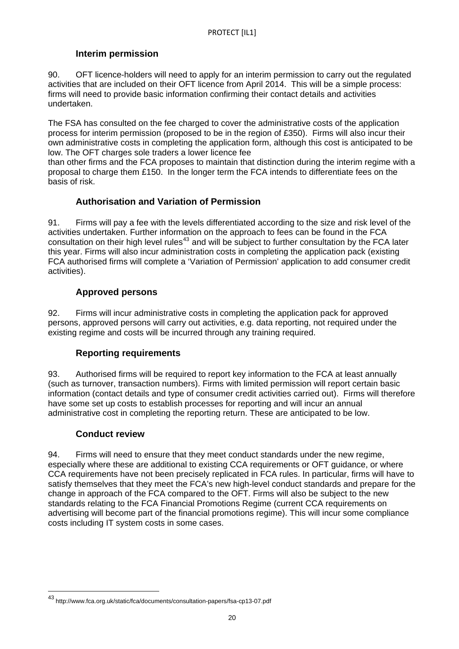## **Interim permission**

90. OFT licence-holders will need to apply for an interim permission to carry out the regulated activities that are included on their OFT licence from April 2014. This will be a simple process: firms will need to provide basic information confirming their contact details and activities undertaken.

The FSA has consulted on the fee charged to cover the administrative costs of the application process for interim permission (proposed to be in the region of £350). Firms will also incur their own administrative costs in completing the application form, although this cost is anticipated to be low. The OFT charges sole traders a lower licence fee

than other firms and the FCA proposes to maintain that distinction during the interim regime with a proposal to charge them £150. In the longer term the FCA intends to differentiate fees on the basis of risk.

## **Authorisation and Variation of Permission**

91. Firms will pay a fee with the levels differentiated according to the size and risk level of the activities undertaken. Further information on the approach to fees can be found in the FCA consultation on their high level rules<sup>[43](#page-18-0)</sup> and will be subject to further consultation by the FCA later this year. Firms will also incur administration costs in completing the application pack (existing FCA authorised firms will complete a 'Variation of Permission' application to add consumer credit activities).

## **Approved persons**

92. Firms will incur administrative costs in completing the application pack for approved persons, approved persons will carry out activities, e.g. data reporting, not required under the existing regime and costs will be incurred through any training required.

## **Reporting requirements**

93. Authorised firms will be required to report key information to the FCA at least annually (such as turnover, transaction numbers). Firms with limited permission will report certain basic information (contact details and type of consumer credit activities carried out). Firms will therefore have some set up costs to establish processes for reporting and will incur an annual administrative cost in completing the reporting return. These are anticipated to be low.

## **Conduct review**

<span id="page-19-0"></span> $\overline{a}$ 

94. Firms will need to ensure that they meet conduct standards under the new regime, especially where these are additional to existing CCA requirements or OFT guidance, or where CCA requirements have not been precisely replicated in FCA rules. In particular, firms will have to satisfy themselves that they meet the FCA's new high-level conduct standards and prepare for the change in approach of the FCA compared to the OFT. Firms will also be subject to the new standards relating to the FCA Financial Promotions Regime (current CCA requirements on advertising will become part of the financial promotions regime). This will incur some compliance costs including IT system costs in some cases.

<sup>43</sup> http://www.fca.org.uk/static/fca/documents/consultation-papers/fsa-cp13-07.pdf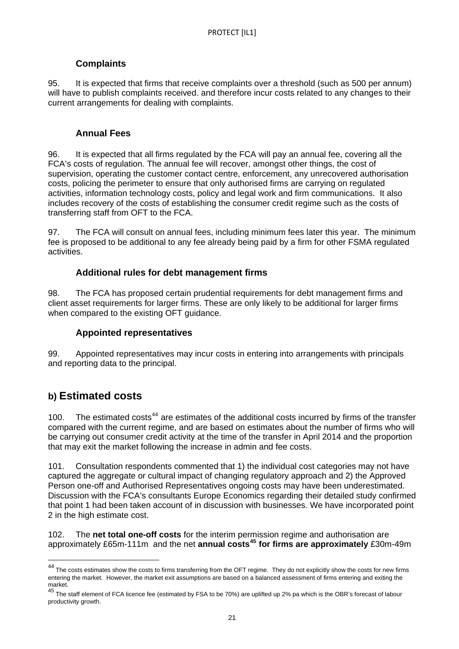## **Complaints**

95. It is expected that firms that receive complaints over a threshold (such as 500 per annum) will have to publish complaints received. and therefore incur costs related to any changes to their current arrangements for dealing with complaints.

## **Annual Fees**

96. It is expected that all firms regulated by the FCA will pay an annual fee, covering all the FCA's costs of regulation. The annual fee will recover, amongst other things, the cost of supervision, operating the customer contact centre, enforcement, any unrecovered authorisation costs, policing the perimeter to ensure that only authorised firms are carrying on regulated activities, information technology costs, policy and legal work and firm communications. It also includes recovery of the costs of establishing the consumer credit regime such as the costs of transferring staff from OFT to the FCA.

97. The FCA will consult on annual fees, including minimum fees later this year. The minimum fee is proposed to be additional to any fee already being paid by a firm for other FSMA regulated activities.

## **Additional rules for debt management firms**

98. The FCA has proposed certain prudential requirements for debt management firms and client asset requirements for larger firms. These are only likely to be additional for larger firms when compared to the existing OFT guidance.

## **Appointed representatives**

99. Appointed representatives may incur costs in entering into arrangements with principals and reporting data to the principal.

## **b) Estimated costs**

 $\overline{a}$ 

100. The estimated costs<sup>[44](#page-19-0)</sup> are estimates of the additional costs incurred by firms of the transfer compared with the current regime, and are based on estimates about the number of firms who will be carrying out consumer credit activity at the time of the transfer in April 2014 and the proportion that may exit the market following the increase in admin and fee costs.

101. Consultation respondents commented that 1) the individual cost categories may not have captured the aggregate or cultural impact of changing regulatory approach and 2) the Approved Person one-off and Authorised Representatives ongoing costs may have been underestimated. Discussion with the FCA's consultants Europe Economics regarding their detailed study confirmed that point 1 had been taken account of in discussion with businesses. We have incorporated point 2 in the high estimate cost.

102. The **net total one-off costs** for the interim permission regime and authorisation are approximately £65m-111m and the net **annual costs[45](#page-20-0) for firms are approximately** £30m-49m

<sup>&</sup>lt;sup>44</sup> The costs estimates show the costs to firms transferring from the OFT regime. They do not explicitly show the costs for new firms entering the market. However, the market exit assumptions are based on a balanced assessment of firms entering and exiting the market.

<span id="page-20-1"></span><span id="page-20-0"></span>Hance.<br><sup>45</sup> The staff element of FCA licence fee (estimated by FSA to be 70%) are uplifted up 2% pa which is the OBR's forecast of labour productivity growth.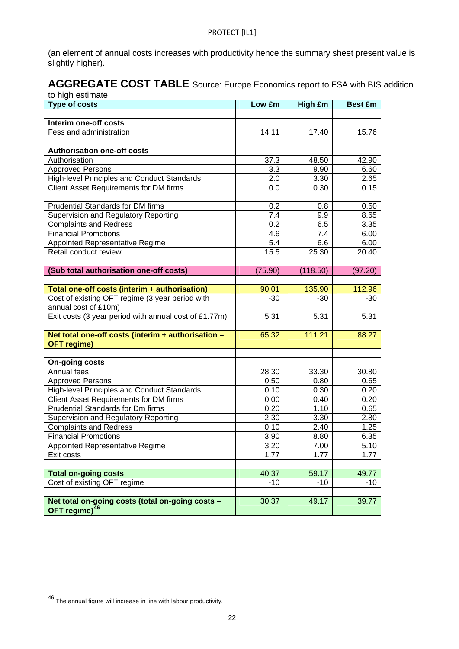(an element of annual costs increases with productivity hence the summary sheet present value is slightly higher).

#### AGGREGATE COST TABLE Source: Europe Economics report to FSA with BIS addition to high estimate

| io myn commate<br><b>Type of costs</b>                | Low £m           | High £m  | <b>Best £m</b> |
|-------------------------------------------------------|------------------|----------|----------------|
|                                                       |                  |          |                |
| Interim one-off costs                                 |                  |          |                |
| Fess and administration                               | 14.11            | 17.40    | 15.76          |
|                                                       |                  |          |                |
| <b>Authorisation one-off costs</b>                    |                  |          |                |
| Authorisation                                         | 37.3             | 48.50    | 42.90          |
| <b>Approved Persons</b>                               | 3.3              | 9.90     | 6.60           |
| <b>High-level Principles and Conduct Standards</b>    | 2.0              | 3.30     | 2.65           |
| <b>Client Asset Requirements for DM firms</b>         | 0.0              | 0.30     | 0.15           |
| <b>Prudential Standards for DM firms</b>              | 0.2              | 0.8      | 0.50           |
| Supervision and Regulatory Reporting                  | $\overline{7.4}$ | 9.9      | 8.65           |
| <b>Complaints and Redress</b>                         | 0.2              | 6.5      | 3.35           |
| <b>Financial Promotions</b>                           | 4.6              | 7.4      | 6.00           |
| Appointed Representative Regime                       | 5.4              | 6.6      | 6.00           |
| Retail conduct review                                 | 15.5             | 25.30    | 20.40          |
|                                                       |                  |          |                |
| (Sub total authorisation one-off costs)               | (75.90)          | (118.50) | (97.20)        |
|                                                       |                  |          |                |
| Total one-off costs (interim + authorisation)         | 90.01            | 135.90   | 112.96         |
| Cost of existing OFT regime (3 year period with       | $-30$            | $-30$    | $-30$          |
| annual cost of £10m)                                  |                  |          |                |
| Exit costs (3 year period with annual cost of £1.77m) | 5.31             | 5.31     | 5.31           |
| Net total one-off costs (interim + authorisation -    | 65.32            | 111.21   | 88.27          |
| <b>OFT</b> regime)                                    |                  |          |                |
|                                                       |                  |          |                |
| <b>On-going costs</b>                                 |                  |          |                |
| Annual fees                                           | 28.30            | 33.30    | 30.80          |
| <b>Approved Persons</b>                               | 0.50             | 0.80     | 0.65           |
| High-level Principles and Conduct Standards           | 0.10             | 0.30     | 0.20           |
| <b>Client Asset Requirements for DM firms</b>         | 0.00             | 0.40     | 0.20           |
| <b>Prudential Standards for Dm firms</b>              | 0.20             | 1.10     | 0.65           |
| Supervision and Regulatory Reporting                  | 2.30             | 3.30     | 2.80           |
| <b>Complaints and Redress</b>                         | 0.10             | 2.40     | 1.25           |
| <b>Financial Promotions</b>                           | 3.90             | 8.80     | 6.35           |
| Appointed Representative Regime                       | 3.20             | 7.00     | 5.10           |
| Exit costs                                            | 1.77             | 1.77     | 1.77           |
|                                                       |                  |          |                |
| <b>Total on-going costs</b>                           | 40.37            | 59.17    | 49.77          |
| Cost of existing OFT regime                           | $-10$            | $-10$    | $-10$          |
|                                                       |                  |          |                |
| Net total on-going costs (total on-going costs -      | 30.37            | 49.17    | 39.77          |
| OFT regime) <sup>46</sup>                             |                  |          |                |

<span id="page-21-0"></span> $^{46}$  The annual figure will increase in line with labour productivity.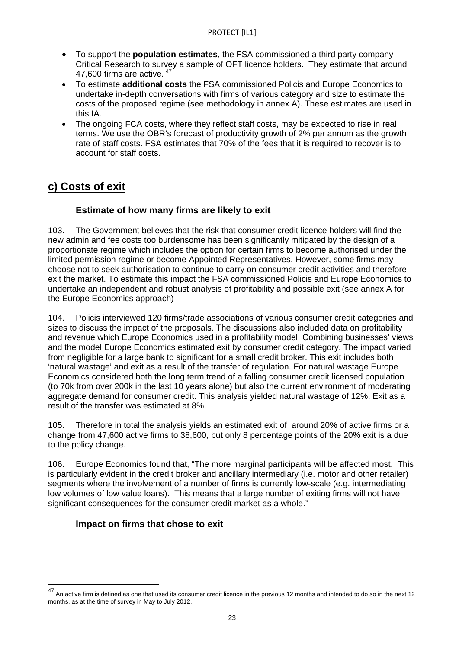- To support the **population estimates**, the FSA commissioned a third party company Critical Research to survey a sample of OFT licence holders. They estimate that around [47](#page-21-0),600 firms are active.  $47$
- To estimate **additional costs** the FSA commissioned Policis and Europe Economics to undertake in-depth conversations with firms of various category and size to estimate the costs of the proposed regime (see methodology in annex A). These estimates are used in this IA.
- The ongoing FCA costs, where they reflect staff costs, may be expected to rise in real terms. We use the OBR's forecast of productivity growth of 2% per annum as the growth rate of staff costs. FSA estimates that 70% of the fees that it is required to recover is to account for staff costs.

## **c) Costs of exit**

## **Estimate of how many firms are likely to exit**

103. The Government believes that the risk that consumer credit licence holders will find the new admin and fee costs too burdensome has been significantly mitigated by the design of a proportionate regime which includes the option for certain firms to become authorised under the limited permission regime or become Appointed Representatives. However, some firms may choose not to seek authorisation to continue to carry on consumer credit activities and therefore exit the market. To estimate this impact the FSA commissioned Policis and Europe Economics to undertake an independent and robust analysis of profitability and possible exit (see annex A for the Europe Economics approach)

104. Policis interviewed 120 firms/trade associations of various consumer credit categories and sizes to discuss the impact of the proposals. The discussions also included data on profitability and revenue which Europe Economics used in a profitability model. Combining businesses' views and the model Europe Economics estimated exit by consumer credit category. The impact varied from negligible for a large bank to significant for a small credit broker. This exit includes both 'natural wastage' and exit as a result of the transfer of regulation. For natural wastage Europe Economics considered both the long term trend of a falling consumer credit licensed population (to 70k from over 200k in the last 10 years alone) but also the current environment of moderating aggregate demand for consumer credit. This analysis yielded natural wastage of 12%. Exit as a result of the transfer was estimated at 8%.

105. Therefore in total the analysis yields an estimated exit of around 20% of active firms or a change from 47,600 active firms to 38,600, but only 8 percentage points of the 20% exit is a due to the policy change.

106. Europe Economics found that, "The more marginal participants will be affected most. This is particularly evident in the credit broker and ancillary intermediary (i.e. motor and other retailer) segments where the involvement of a number of firms is currently low-scale (e.g. intermediating low volumes of low value loans). This means that a large number of exiting firms will not have significant consequences for the consumer credit market as a whole."

## **Impact on firms that chose to exit**

<span id="page-22-0"></span><sup>&</sup>lt;sup>47</sup> An active firm is defined as one that used its consumer credit licence in the previous 12 months and intended to do so in the next 12 months, as at the time of survey in May to July 2012.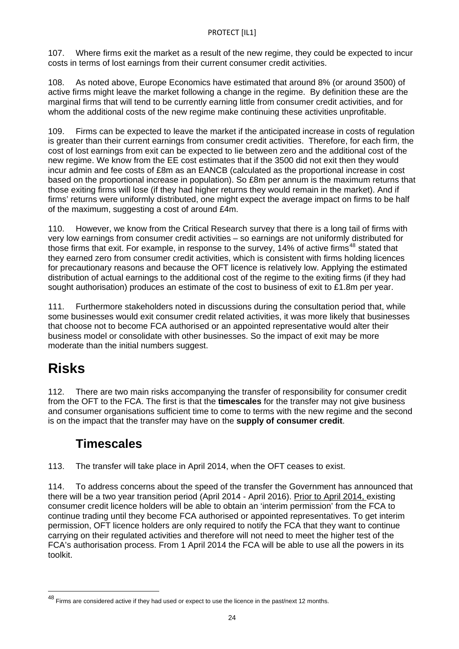107. Where firms exit the market as a result of the new regime, they could be expected to incur costs in terms of lost earnings from their current consumer credit activities.

108. As noted above, Europe Economics have estimated that around 8% (or around 3500) of active firms might leave the market following a change in the regime. By definition these are the marginal firms that will tend to be currently earning little from consumer credit activities, and for whom the additional costs of the new regime make continuing these activities unprofitable.

109. Firms can be expected to leave the market if the anticipated increase in costs of regulation is greater than their current earnings from consumer credit activities. Therefore, for each firm, the cost of lost earnings from exit can be expected to lie between zero and the additional cost of the new regime. We know from the EE cost estimates that if the 3500 did not exit then they would incur admin and fee costs of £8m as an EANCB (calculated as the proportional increase in cost based on the proportional increase in population). So £8m per annum is the maximum returns that those exiting firms will lose (if they had higher returns they would remain in the market). And if firms' returns were uniformly distributed, one might expect the average impact on firms to be half of the maximum, suggesting a cost of around £4m.

for precautionary reasons and because the OFT licence is relatively low. Applying the estimated 110. However, we know from the Critical Research survey that there is a long tail of firms with very low earnings from consumer credit activities – so earnings are not uniformly distributed for those firms that exit. For example, in response to the survey, 14% of active firms<sup>[48](#page-22-0)</sup> stated that they earned zero from consumer credit activities, which is consistent with firms holding licences distribution of actual earnings to the additional cost of the regime to the exiting firms (if they had sought authorisation) produces an estimate of the cost to business of exit to £1.8m per year.

111. Furthermore stakeholders noted in discussions during the consultation period that, while some businesses would exit consumer credit related activities, it was more likely that businesses that choose not to become FCA authorised or an appointed representative would alter their business model or consolidate with other businesses. So the impact of exit may be more moderate than the initial numbers suggest.

# **Risks**

 $\overline{a}$ 

112. There are two main risks accompanying the transfer of responsibility for consumer credit from the OFT to the FCA. The first is that the **timescales** for the transfer may not give business and consumer organisations sufficient time to come to terms with the new regime and the second is on the impact that the transfer may have on the **supply of consumer credit**.

## **Timescales**

113. The transfer will take place in April 2014, when the OFT ceases to exist.

114. To address concerns about the speed of the transfer the Government has announced that there will be a two year transition period (April 2014 - April 2016). Prior to April 2014, existing consumer credit licence holders will be able to obtain an 'interim permission' from the FCA to continue trading until they become FCA authorised or appointed representatives. To get interim permission, OFT licence holders are only required to notify the FCA that they want to continue carrying on their regulated activities and therefore will not need to meet the higher test of the FCA's authorisation process. From 1 April 2014 the FCA will be able to use all the powers in its toolkit.

<span id="page-23-0"></span><sup>48</sup> Firms are considered active if they had used or expect to use the licence in the past/next 12 months.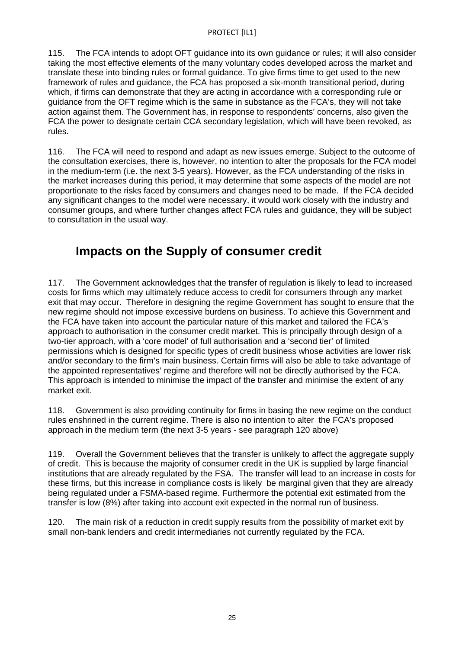115. The FCA intends to adopt OFT guidance into its own guidance or rules; it will also consider taking the most effective elements of the many voluntary codes developed across the market and translate these into binding rules or formal guidance. To give firms time to get used to the new framework of rules and guidance, the FCA has proposed a six-month transitional period, during which, if firms can demonstrate that they are acting in accordance with a corresponding rule or guidance from the OFT regime which is the same in substance as the FCA's, they will not take action against them. The Government has, in response to respondents' concerns, also given the FCA the power to designate certain CCA secondary legislation, which will have been revoked, as rules.

116. The FCA will need to respond and adapt as new issues emerge. Subject to the outcome of the consultation exercises, there is, however, no intention to alter the proposals for the FCA model in the medium-term (i.e. the next 3-5 years). However, as the FCA understanding of the risks in the market increases during this period, it may determine that some aspects of the model are not proportionate to the risks faced by consumers and changes need to be made. If the FCA decided any significant changes to the model were necessary, it would work closely with the industry and consumer groups, and where further changes affect FCA rules and guidance, they will be subject to consultation in the usual way.

## **Impacts on the Supply of consumer credit**

117. The Government acknowledges that the transfer of regulation is likely to lead to increased costs for firms which may ultimately reduce access to credit for consumers through any market exit that may occur. Therefore in designing the regime Government has sought to ensure that the new regime should not impose excessive burdens on business. To achieve this Government and the FCA have taken into account the particular nature of this market and tailored the FCA's approach to authorisation in the consumer credit market. This is principally through design of a two-tier approach, with a 'core model' of full authorisation and a 'second tier' of limited permissions which is designed for specific types of credit business whose activities are lower risk and/or secondary to the firm's main business. Certain firms will also be able to take advantage of the appointed representatives' regime and therefore will not be directly authorised by the FCA. This approach is intended to minimise the impact of the transfer and minimise the extent of any market exit.

118. Government is also providing continuity for firms in basing the new regime on the conduct rules enshrined in the current regime. There is also no intention to alter the FCA's proposed approach in the medium term (the next 3-5 years - see paragraph 120 above)

119. Overall the Government believes that the transfer is unlikely to affect the aggregate supply of credit. This is because the majority of consumer credit in the UK is supplied by large financial institutions that are already regulated by the FSA. The transfer will lead to an increase in costs for these firms, but this increase in compliance costs is likely be marginal given that they are already being regulated under a FSMA-based regime. Furthermore the potential exit estimated from the transfer is low (8%) after taking into account exit expected in the normal run of business.

120. The main risk of a reduction in credit supply results from the possibility of market exit by small non-bank lenders and credit intermediaries not currently regulated by the FCA.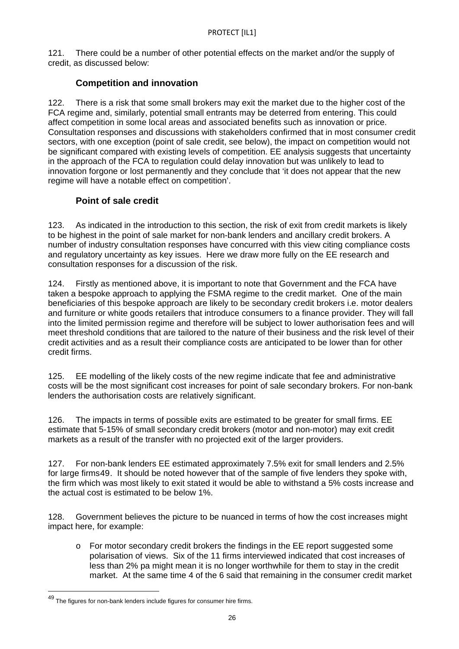121. There could be a number of other potential effects on the market and/or the supply of credit, as discussed below:

## **Competition and innovation**

122. There is a risk that some small brokers may exit the market due to the higher cost of the FCA regime and, similarly, potential small entrants may be deterred from entering. This could affect competition in some local areas and associated benefits such as innovation or price. Consultation responses and discussions with stakeholders confirmed that in most consumer credit sectors, with one exception (point of sale credit, see below), the impact on competition would not be significant compared with existing levels of competition. EE analysis suggests that uncertainty in the approach of the FCA to regulation could delay innovation but was unlikely to lead to innovation forgone or lost permanently and they conclude that 'it does not appear that the new regime will have a notable effect on competition'.

## **Point of sale credit**

123. As indicated in the introduction to this section, the risk of exit from credit markets is likely to be highest in the point of sale market for non-bank lenders and ancillary credit brokers. A number of industry consultation responses have concurred with this view citing compliance costs and regulatory uncertainty as key issues. Here we draw more fully on the EE research and consultation responses for a discussion of the risk.

124. Firstly as mentioned above, it is important to note that Government and the FCA have taken a bespoke approach to applying the FSMA regime to the credit market. One of the main beneficiaries of this bespoke approach are likely to be secondary credit brokers i.e. motor dealers and furniture or white goods retailers that introduce consumers to a finance provider. They will fall into the limited permission regime and therefore will be subject to lower authorisation fees and will meet threshold conditions that are tailored to the nature of their business and the risk level of their credit activities and as a result their compliance costs are anticipated to be lower than for other credit firms.

125. EE modelling of the likely costs of the new regime indicate that fee and administrative costs will be the most significant cost increases for point of sale secondary brokers. For non-bank lenders the authorisation costs are relatively significant.

126. The impacts in terms of possible exits are estimated to be greater for small firms. EE estimate that 5-15% of small secondary credit brokers (motor and non-motor) may exit credit markets as a result of the transfer with no projected exit of the larger providers.

127. For non-bank lenders EE estimated approximately 7.5% exit for small lenders and 2.5% for large firms[49](#page-23-0). It should be noted however that of the sample of five lenders they spoke with, the firm which was most likely to exit stated it would be able to withstand a 5% costs increase and the actual cost is estimated to be below 1%.

128. Government believes the picture to be nuanced in terms of how the cost increases might impact here, for example:

o For motor secondary credit brokers the findings in the EE report suggested some polarisation of views. Six of the 11 firms interviewed indicated that cost increases of less than 2% pa might mean it is no longer worthwhile for them to stay in the credit market. At the same time 4 of the 6 said that remaining in the consumer credit market

<span id="page-25-0"></span> $^{49}$  The figures for non-bank lenders include figures for consumer hire firms.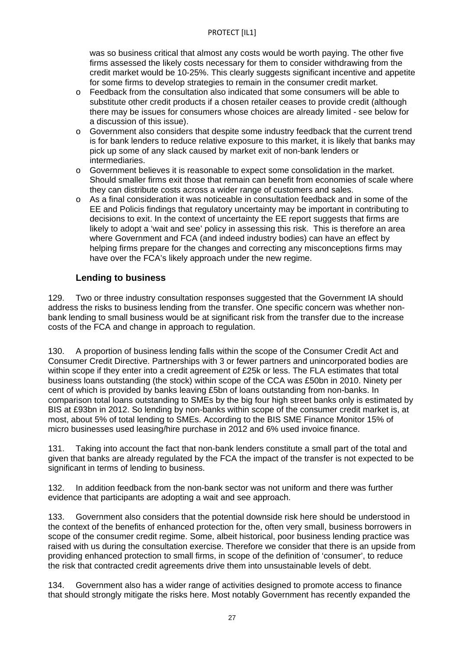was so business critical that almost any costs would be worth paying. The other five firms assessed the likely costs necessary for them to consider withdrawing from the credit market would be 10-25%. This clearly suggests significant incentive and appetite for some firms to develop strategies to remain in the consumer credit market.

- o Feedback from the consultation also indicated that some consumers will be able to substitute other credit products if a chosen retailer ceases to provide credit (although there may be issues for consumers whose choices are already limited - see below for a discussion of this issue).
- $\circ$  Government also considers that despite some industry feedback that the current trend is for bank lenders to reduce relative exposure to this market, it is likely that banks may pick up some of any slack caused by market exit of non-bank lenders or intermediaries.
- o Government believes it is reasonable to expect some consolidation in the market. Should smaller firms exit those that remain can benefit from economies of scale where they can distribute costs across a wider range of customers and sales.
- $\circ$  As a final consideration it was noticeable in consultation feedback and in some of the EE and Policis findings that regulatory uncertainty may be important in contributing to decisions to exit. In the context of uncertainty the EE report suggests that firms are likely to adopt a 'wait and see' policy in assessing this risk. This is therefore an area where Government and FCA (and indeed industry bodies) can have an effect by helping firms prepare for the changes and correcting any misconceptions firms may have over the FCA's likely approach under the new regime.

## **Lending to business**

129. Two or three industry consultation responses suggested that the Government IA should address the risks to business lending from the transfer. One specific concern was whether nonbank lending to small business would be at significant risk from the transfer due to the increase costs of the FCA and change in approach to regulation.

130. A proportion of business lending falls within the scope of the Consumer Credit Act and Consumer Credit Directive. Partnerships with 3 or fewer partners and unincorporated bodies are within scope if they enter into a credit agreement of £25k or less. The FLA estimates that total business loans outstanding (the stock) within scope of the CCA was £50bn in 2010. Ninety per cent of which is provided by banks leaving £5bn of loans outstanding from non-banks. In comparison total loans outstanding to SMEs by the big four high street banks only is estimated by BIS at £93bn in 2012. So lending by non-banks within scope of the consumer credit market is, at most, about 5% of total lending to SMEs. According to the BIS SME Finance Monitor 15% of micro businesses used leasing/hire purchase in 2012 and 6% used invoice finance.

131. Taking into account the fact that non-bank lenders constitute a small part of the total and given that banks are already regulated by the FCA the impact of the transfer is not expected to be significant in terms of lending to business.

132. In addition feedback from the non-bank sector was not uniform and there was further evidence that participants are adopting a wait and see approach.

133. Government also considers that the potential downside risk here should be understood in the context of the benefits of enhanced protection for the, often very small, business borrowers in scope of the consumer credit regime. Some, albeit historical, poor business lending practice was raised with us during the consultation exercise. Therefore we consider that there is an upside from providing enhanced protection to small firms, in scope of the definition of 'consumer', to reduce the risk that contracted credit agreements drive them into unsustainable levels of debt.

134. Government also has a wider range of activities designed to promote access to finance that should strongly mitigate the risks here. Most notably Government has recently expanded the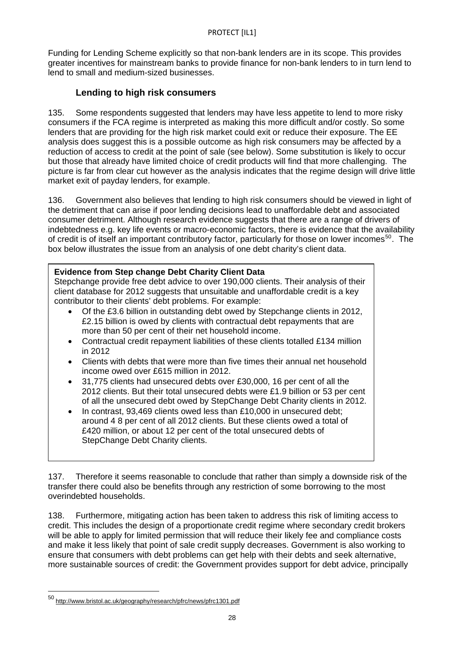Funding for Lending Scheme explicitly so that non-bank lenders are in its scope. This provides greater incentives for mainstream banks to provide finance for non-bank lenders to in turn lend to lend to small and medium-sized businesses.

## **Lending to high risk consumers**

135. Some respondents suggested that lenders may have less appetite to lend to more risky consumers if the FCA regime is interpreted as making this more difficult and/or costly. So some lenders that are providing for the high risk market could exit or reduce their exposure. The EE analysis does suggest this is a possible outcome as high risk consumers may be affected by a reduction of access to credit at the point of sale (see below). Some substitution is likely to occur but those that already have limited choice of credit products will find that more challenging. The picture is far from clear cut however as the analysis indicates that the regime design will drive little market exit of payday lenders, for example.

136. Government also believes that lending to high risk consumers should be viewed in light of the detriment that can arise if poor lending decisions lead to unaffordable debt and associated consumer detriment. Although research evidence suggests that there are a range of drivers of indebtedness e.g. key life events or macro-economic factors, there is evidence that the availability of credit is of itself an important contributory factor, particularly for those on lower incomes<sup>[50](#page-25-0)</sup>. The box below illustrates the issue from an analysis of one debt charity's client data.

## **Evidence from Step change Debt Charity Client Data**

Stepchange provide free debt advice to over 190,000 clients. Their analysis of their client database for 2012 suggests that unsuitable and unaffordable credit is a key contributor to their clients' debt problems. For example:

- Of the £3.6 billion in outstanding debt owed by Stepchange clients in 2012, £2.15 billion is owed by clients with contractual debt repayments that are more than 50 per cent of their net household income.
- Contractual credit repayment liabilities of these clients totalled £134 million in 2012
- Clients with debts that were more than five times their annual net household income owed over £615 million in 2012.
- 31,775 clients had unsecured debts over £30,000, 16 per cent of all the 2012 clients. But their total unsecured debts were £1.9 billion or 53 per cent of all the unsecured debt owed by StepChange Debt Charity clients in 2012.
- In contrast, 93,469 clients owed less than £10,000 in unsecured debt; around 4 8 per cent of all 2012 clients. But these clients owed a total of £420 million, or about 12 per cent of the total unsecured debts of StepChange Debt Charity clients.

137. Therefore it seems reasonable to conclude that rather than simply a downside risk of the transfer there could also be benefits through any restriction of some borrowing to the most overindebted households.

138. Furthermore, mitigating action has been taken to address this risk of limiting access to credit. This includes the design of a proportionate credit regime where secondary credit brokers will be able to apply for limited permission that will reduce their likely fee and compliance costs and make it less likely that point of sale credit supply decreases. Government is also working to ensure that consumers with debt problems can get help with their debts and seek alternative, more sustainable sources of credit: the Government provides support for debt advice, principally

<span id="page-27-0"></span><sup>50</sup> <http://www.bristol.ac.uk/geography/research/pfrc/news/pfrc1301.pdf>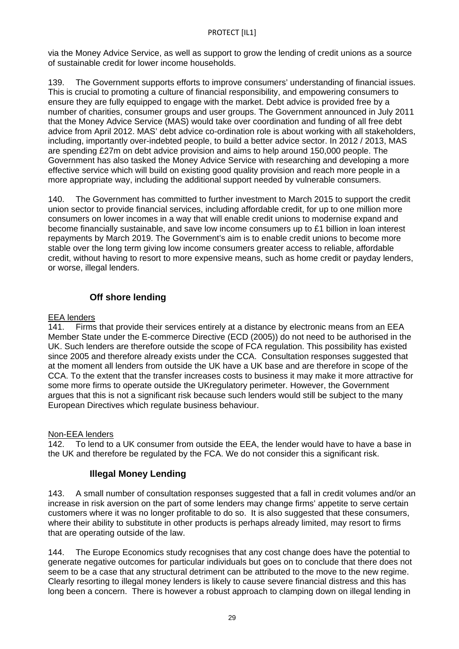via the Money Advice Service, as well as support to grow the lending of credit unions as a source of sustainable credit for lower income households.

139. The Government supports efforts to improve consumers' understanding of financial issues. This is crucial to promoting a culture of financial responsibility, and empowering consumers to ensure they are fully equipped to engage with the market. Debt advice is provided free by a number of charities, consumer groups and user groups. The Government announced in July 2011 that the Money Advice Service (MAS) would take over coordination and funding of all free debt advice from April 2012. MAS' debt advice co-ordination role is about working with all stakeholders, including, importantly over-indebted people, to build a better advice sector. In 2012 / 2013, MAS are spending £27m on debt advice provision and aims to help around 150,000 people. The Government has also tasked the Money Advice Service with researching and developing a more effective service which will build on existing good quality provision and reach more people in a more appropriate way, including the additional support needed by vulnerable consumers.

140. The Government has committed to further investment to March 2015 to support the credit union sector to provide financial services, including affordable credit, for up to one million more consumers on lower incomes in a way that will enable credit unions to modernise expand and become financially sustainable, and save low income consumers up to £1 billion in loan interest repayments by March 2019. The Government's aim is to enable credit unions to become more stable over the long term giving low income consumers greater access to reliable, affordable credit, without having to resort to more expensive means, such as home credit or payday lenders, or worse, illegal lenders.

## **Off shore lending**

### EEA lenders

141. Firms that provide their services entirely at a distance by electronic means from an EEA Member State under the E-commerce Directive (ECD (2005)) do not need to be authorised in the UK. Such lenders are therefore outside the scope of FCA regulation. This possibility has existed since 2005 and therefore already exists under the CCA. Consultation responses suggested that at the moment all lenders from outside the UK have a UK base and are therefore in scope of the CCA. To the extent that the transfer increases costs to business it may make it more attractive for some more firms to operate outside the UKregulatory perimeter. However, the Government argues that this is not a significant risk because such lenders would still be subject to the many European Directives which regulate business behaviour.

## Non-EEA lenders

142. To lend to a UK consumer from outside the EEA, the lender would have to have a base in the UK and therefore be regulated by the FCA. We do not consider this a significant risk.

## **Illegal Money Lending**

143. A small number of consultation responses suggested that a fall in credit volumes and/or an increase in risk aversion on the part of some lenders may change firms' appetite to serve certain customers where it was no longer profitable to do so. It is also suggested that these consumers, where their ability to substitute in other products is perhaps already limited, may resort to firms that are operating outside of the law.

144. The Europe Economics study recognises that any cost change does have the potential to generate negative outcomes for particular individuals but goes on to conclude that there does not seem to be a case that any structural detriment can be attributed to the move to the new regime. Clearly resorting to illegal money lenders is likely to cause severe financial distress and this has long been a concern. There is however a robust approach to clamping down on illegal lending in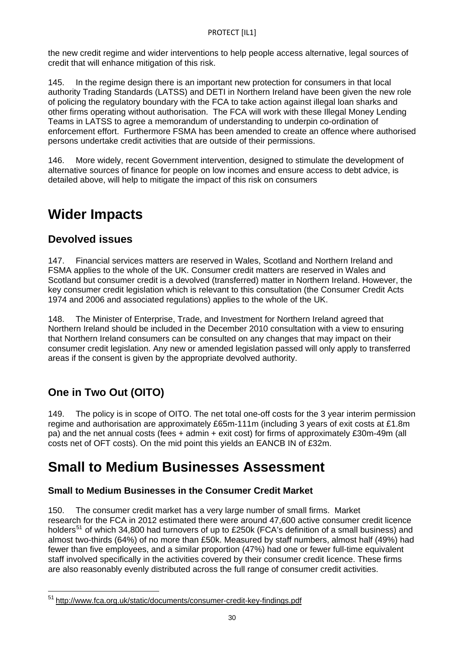the new credit regime and wider interventions to help people access alternative, legal sources of credit that will enhance mitigation of this risk.

145. In the regime design there is an important new protection for consumers in that local authority Trading Standards (LATSS) and DETI in Northern Ireland have been given the new role of policing the regulatory boundary with the FCA to take action against illegal loan sharks and other firms operating without authorisation. The FCA will work with these Illegal Money Lending Teams in LATSS to agree a memorandum of understanding to underpin co-ordination of enforcement effort. Furthermore FSMA has been amended to create an offence where authorised persons undertake credit activities that are outside of their permissions.

146. More widely, recent Government intervention, designed to stimulate the development of alternative sources of finance for people on low incomes and ensure access to debt advice, is detailed above, will help to mitigate the impact of this risk on consumers

## **Wider Impacts**

## **Devolved issues**

147. Financial services matters are reserved in Wales, Scotland and Northern Ireland and FSMA applies to the whole of the UK. Consumer credit matters are reserved in Wales and Scotland but consumer credit is a devolved (transferred) matter in Northern Ireland. However, the key consumer credit legislation which is relevant to this consultation (the Consumer Credit Acts 1974 and 2006 and associated regulations) applies to the whole of the UK.

148. The Minister of Enterprise, Trade, and Investment for Northern Ireland agreed that Northern Ireland should be included in the December 2010 consultation with a view to ensuring that Northern Ireland consumers can be consulted on any changes that may impact on their consumer credit legislation. Any new or amended legislation passed will only apply to transferred areas if the consent is given by the appropriate devolved authority.

## **One in Two Out (OITO)**

 $\overline{a}$ 

149. The policy is in scope of OITO. The net total one-off costs for the 3 year interim permission regime and authorisation are approximately £65m-111m (including 3 years of exit costs at £1.8m pa) and the net annual costs (fees + admin + exit cost) for firms of approximately £30m-49m (all costs net of OFT costs). On the mid point this yields an EANCB IN of £32m.

## **Small to Medium Businesses Assessment**

## **Small to Medium Businesses in the Consumer Credit Market**

150. The consumer credit market has a very large number of small firms. Market research for the FCA in 2012 estimated there were around 47,600 active consumer credit licence holders<sup>[51](#page-27-0)</sup> of which 34,800 had turnovers of up to £250k (FCA's definition of a small business) and almost two-thirds (64%) of no more than £50k. Measured by staff numbers, almost half (49%) had fewer than five employees, and a similar proportion (47%) had one or fewer full-time equivalent staff involved specifically in the activities covered by their consumer credit licence. These firms are also reasonably evenly distributed across the full range of consumer credit activities.

<span id="page-29-0"></span><sup>51</sup> <http://www.fca.org.uk/static/documents/consumer-credit-key-findings.pdf>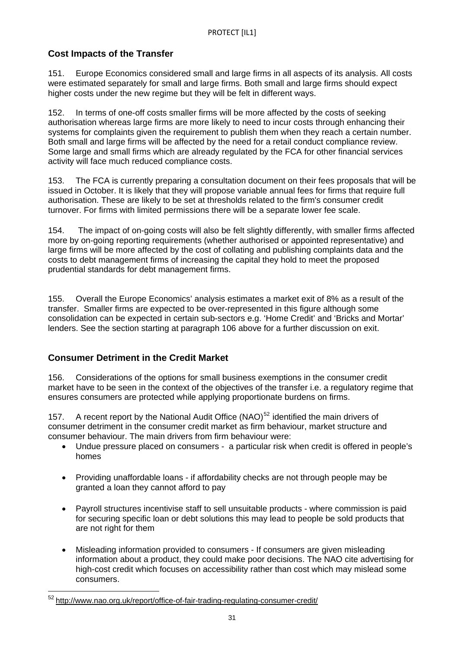## **Cost Impacts of the Transfer**

151. Europe Economics considered small and large firms in all aspects of its analysis. All costs were estimated separately for small and large firms. Both small and large firms should expect higher costs under the new regime but they will be felt in different ways.

152. In terms of one-off costs smaller firms will be more affected by the costs of seeking authorisation whereas large firms are more likely to need to incur costs through enhancing their systems for complaints given the requirement to publish them when they reach a certain number. Both small and large firms will be affected by the need for a retail conduct compliance review. Some large and small firms which are already regulated by the FCA for other financial services activity will face much reduced compliance costs.

153. The FCA is currently preparing a consultation document on their fees proposals that will be issued in October. It is likely that they will propose variable annual fees for firms that require full authorisation. These are likely to be set at thresholds related to the firm's consumer credit turnover. For firms with limited permissions there will be a separate lower fee scale.

154. The impact of on-going costs will also be felt slightly differently, with smaller firms affected more by on-going reporting requirements (whether authorised or appointed representative) and large firms will be more affected by the cost of collating and publishing complaints data and the costs to debt management firms of increasing the capital they hold to meet the proposed prudential standards for debt management firms.

155. Overall the Europe Economics' analysis estimates a market exit of 8% as a result of the transfer. Smaller firms are expected to be over-represented in this figure although some consolidation can be expected in certain sub-sectors e.g. 'Home Credit' and 'Bricks and Mortar' lenders. See the section starting at paragraph 106 above for a further discussion on exit.

## **Consumer Detriment in the Credit Market**

156. Considerations of the options for small business exemptions in the consumer credit market have to be seen in the context of the objectives of the transfer i.e. a regulatory regime that ensures consumers are protected while applying proportionate burdens on firms.

157. A recent report by the National Audit Office (NAO)<sup>[52](#page-29-0)</sup> identified the main drivers of consumer detriment in the consumer credit market as firm behaviour, market structure and consumer behaviour. The main drivers from firm behaviour were:

- Undue pressure placed on consumers a particular risk when credit is offered in people's homes
- Providing unaffordable loans if affordability checks are not through people may be granted a loan they cannot afford to pay
- Payroll structures incentivise staff to sell unsuitable products where commission is paid for securing specific loan or debt solutions this may lead to people be sold products that are not right for them
- Misleading information provided to consumers If consumers are given misleading information about a product, they could make poor decisions. The NAO cite advertising for high-cost credit which focuses on accessibility rather than cost which may mislead some consumers.

<span id="page-30-0"></span><sup>&</sup>lt;sup>52</sup> <http://www.nao.org.uk/report/office-of-fair-trading-regulating-consumer-credit/>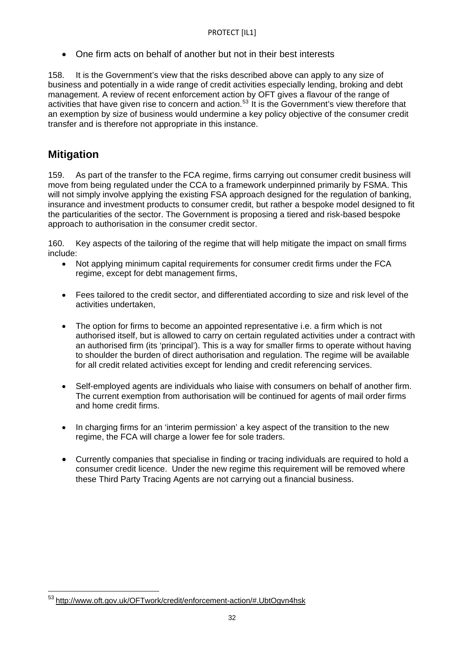One firm acts on behalf of another but not in their best interests

158. It is the Government's view that the risks described above can apply to any size of business and potentially in a wide range of credit activities especially lending, broking and debt management. A review of recent enforcement action by OFT gives a flavour of the range of activities that have given rise to concern and action.<sup>[53](#page-30-0)</sup> It is the Government's view therefore that an exemption by size of business would undermine a key policy objective of the consumer credit transfer and is therefore not appropriate in this instance.

## **Mitigation**

 $\overline{a}$ 

159. As part of the transfer to the FCA regime, firms carrying out consumer credit business will move from being regulated under the CCA to a framework underpinned primarily by FSMA. This will not simply involve applying the existing FSA approach designed for the regulation of banking, insurance and investment products to consumer credit, but rather a bespoke model designed to fit the particularities of the sector. The Government is proposing a tiered and risk-based bespoke approach to authorisation in the consumer credit sector.

160. Key aspects of the tailoring of the regime that will help mitigate the impact on small firms include:

- Not applying minimum capital requirements for consumer credit firms under the FCA regime, except for debt management firms,
- Fees tailored to the credit sector, and differentiated according to size and risk level of the activities undertaken,
- The option for firms to become an appointed representative i.e. a firm which is not authorised itself, but is allowed to carry on certain regulated activities under a contract with an authorised firm (its 'principal'). This is a way for smaller firms to operate without having to shoulder the burden of direct authorisation and regulation. The regime will be available for all credit related activities except for lending and credit referencing services.
- Self-employed agents are individuals who liaise with consumers on behalf of another firm. The current exemption from authorisation will be continued for agents of mail order firms and home credit firms.
- In charging firms for an 'interim permission' a key aspect of the transition to the new regime, the FCA will charge a lower fee for sole traders.
- Currently companies that specialise in finding or tracing individuals are required to hold a consumer credit licence. Under the new regime this requirement will be removed where these Third Party Tracing Agents are not carrying out a financial business.

<span id="page-31-0"></span><sup>&</sup>lt;sup>53</sup> <http://www.oft.gov.uk/OFTwork/credit/enforcement-action/#.UbtOgvn4hsk>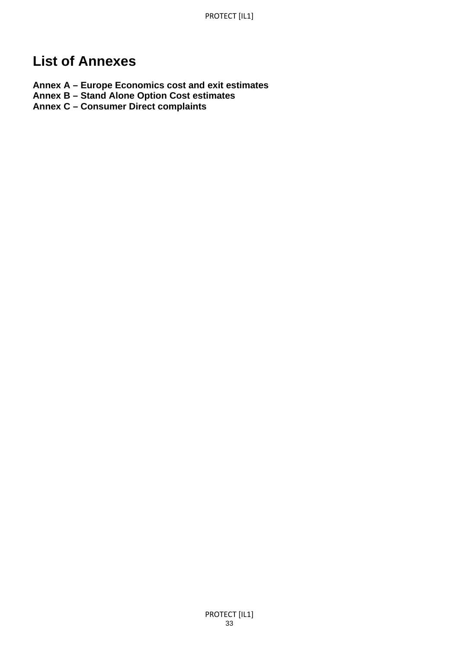## **List of Annexes**

- **Annex A Europe Economics cost and exit estimates**
- **Annex B Stand Alone Option Cost estimates**
- **Annex C Consumer Direct complaints**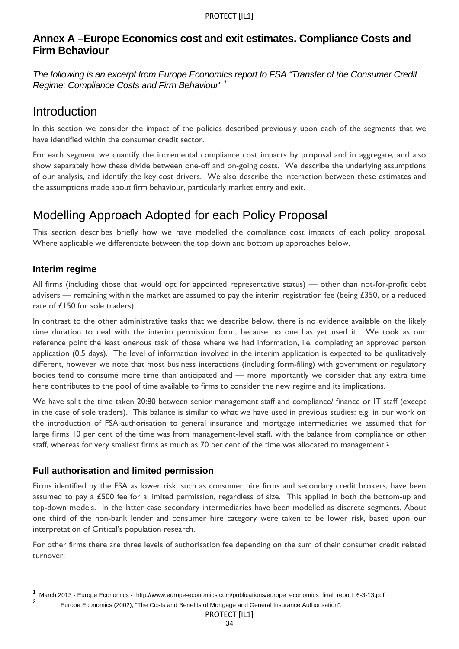## **Annex A –Europe Economics cost and exit estimates. Compliance Costs and Firm Behaviour**

*The following is an excerpt from Europe Economics report to FSA "Transfer of the Consumer Credit Regime: Compliance Costs and Firm Behaviour" [1](#page-31-0)*

## Introduction

In this section we consider the impact of the policies described previously upon each of the segments that we have identified within the consumer credit sector.

For each segment we quantify the incremental compliance cost impacts by proposal and in aggregate, and also show separately how these divide between one-off and on-going costs. We describe the underlying assumptions of our analysis, and identify the key cost drivers. We also describe the interaction between these estimates and the assumptions made about firm behaviour, particularly market entry and exit.

## Modelling Approach Adopted for each Policy Proposal

This section describes briefly how we have modelled the compliance cost impacts of each policy proposal. Where applicable we differentiate between the top down and bottom up approaches below.

## **Interim regime**

<span id="page-33-1"></span>l

All firms (including those that would opt for appointed representative status) — other than not-for-profit debt advisers — remaining within the market are assumed to pay the interim registration fee (being  $£350$ , or a reduced rate of £150 for sole traders).

In contrast to the other administrative tasks that we describe below, there is no evidence available on the likely time duration to deal with the interim permission form, because no one has yet used it. We took as our reference point the least onerous task of those where we had information, i.e. completing an approved person application (0.5 days). The level of information involved in the interim application is expected to be qualitatively different, however we note that most business interactions (including form-filing) with government or regulatory bodies tend to consume more time than anticipated and — more importantly we consider that any extra time here contributes to the pool of time available to firms to consider the new regime and its implications.

We have split the time taken 20:80 between senior management staff and compliance/ finance or IT staff (except in the case of sole traders). This balance is similar to what we have used in previous studies: e.g. in our work on the introduction of FSA-authorisation to general insurance and mortgage intermediaries we assumed that for large firms 10 per cent of the time was from management-level staff, with the balance from compliance or other staff, whereas for very smallest firms as much as 70 per cent of the time was allocated to management.<sup>[2](#page-33-0)</sup>

## **Full authorisation and limited permission**

Firms identified by the FSA as lower risk, such as consumer hire firms and secondary credit brokers, have been assumed to pay a £500 fee for a limited permission, regardless of size. This applied in both the bottom-up and top-down models. In the latter case secondary intermediaries have been modelled as discrete segments. About one third of the non-bank lender and consumer hire category were taken to be lower risk, based upon our interpretation of Critical's population research.

For other firms there are three levels of authorisation fee depending on the sum of their consumer credit related turnover:

<sup>1</sup> March 2013 - Europe Economics - [http://www.europe-economics.com/publications/europe\\_economics\\_final\\_report\\_6-3-13.pdf](http://www.europe-economics.com/publications/europe_economics_final_report_6-3-13.pdf) 2

<span id="page-33-0"></span>Europe Economics (2002), "The Costs and Benefits of Mortgage and General Insurance Authorisation".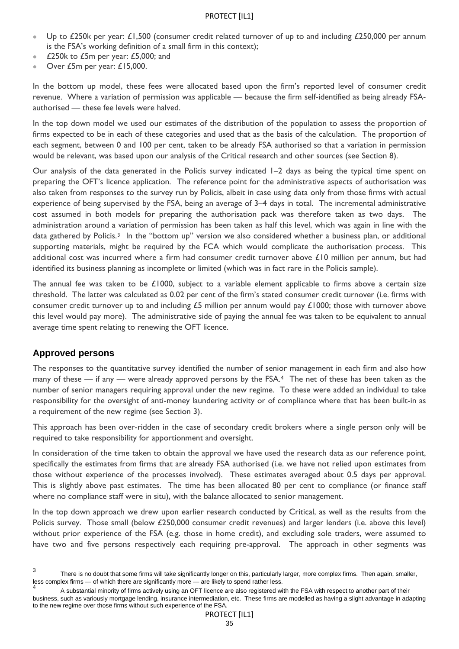- Up to £250k per year: £1,500 (consumer credit related turnover of up to and including £250,000 per annum is the FSA's working definition of a small firm in this context);
- £250k to £5m per year: £5,000; and
- Over £5m per year: £15,000.

In the bottom up model, these fees were allocated based upon the firm's reported level of consumer credit revenue. Where a variation of permission was applicable — because the firm self-identified as being already FSAauthorised — these fee levels were halved.

In the top down model we used our estimates of the distribution of the population to assess the proportion of firms expected to be in each of these categories and used that as the basis of the calculation. The proportion of each segment, between 0 and 100 per cent, taken to be already FSA authorised so that a variation in permission would be relevant, was based upon our analysis of the Critical research and other sources (see Section 8).

Our analysis of the data generated in the Policis survey indicated 1–2 days as being the typical time spent on preparing the OFT's licence application. The reference point for the administrative aspects of authorisation was also taken from responses to the survey run by Policis, albeit in case using data only from those firms with actual experience of being supervised by the FSA, being an average of 3–4 days in total. The incremental administrative cost assumed in both models for preparing the authorisation pack was therefore taken as two days. The administration around a variation of permission has been taken as half this level, which was again in line with the data gathered by Policis.<sup>[3](#page-33-1)</sup> In the "bottom up" version we also considered whether a business plan, or additional supporting materials, might be required by the FCA which would complicate the authorisation process. This additional cost was incurred where a firm had consumer credit turnover above £10 million per annum, but had identified its business planning as incomplete or limited (which was in fact rare in the Policis sample).

The annual fee was taken to be £1000, subject to a variable element applicable to firms above a certain size threshold. The latter was calculated as 0.02 per cent of the firm's stated consumer credit turnover (i.e. firms with consumer credit turnover up to and including £5 million per annum would pay £1000; those with turnover above this level would pay more). The administrative side of paying the annual fee was taken to be equivalent to annual average time spent relating to renewing the OFT licence.

#### **Approved persons**

The responses to the quantitative survey identified the number of senior management in each firm and also how many of these — if any — were already approved persons by the FSA.<sup>4</sup> The net of these has been taken as the number of senior managers requiring approval under the new regime. To these were added an individual to take responsibility for the oversight of anti-money laundering activity or of compliance where that has been built-in as a requirement of the new regime (see Section 3).

This approach has been over-ridden in the case of secondary credit brokers where a single person only will be required to take responsibility for apportionment and oversight.

In consideration of the time taken to obtain the approval we have used the research data as our reference point, specifically the estimates from firms that are already FSA authorised (i.e. we have not relied upon estimates from those without experience of the processes involved). These estimates averaged about 0.5 days per approval. This is slightly above past estimates. The time has been allocated 80 per cent to compliance (or finance staff where no compliance staff were in situ), with the balance allocated to senior management.

In the top down approach we drew upon earlier research conducted by Critical, as well as the results from the Policis survey. Those small (below £250,000 consumer credit revenues) and larger lenders (i.e. above this level) without prior experience of the FSA (e.g. those in home credit), and excluding sole traders, were assumed to have two and five persons respectively each requiring pre-approval. The approach in other segments was

<span id="page-34-1"></span><sup>-&</sup>lt;br>3 There is no doubt that some firms will take significantly longer on this, particularly larger, more complex firms. Then again, smaller, less complex firms — of which there are significantly more — are likely to spend rather less.

<span id="page-34-0"></span><sup>4</sup> A substantial minority of firms actively using an OFT licence are also registered with the FSA with respect to another part of their business, such as variously mortgage lending, insurance intermediation, etc. These firms are modelled as having a slight advantage in adapting to the new regime over those firms without such experience of the FSA.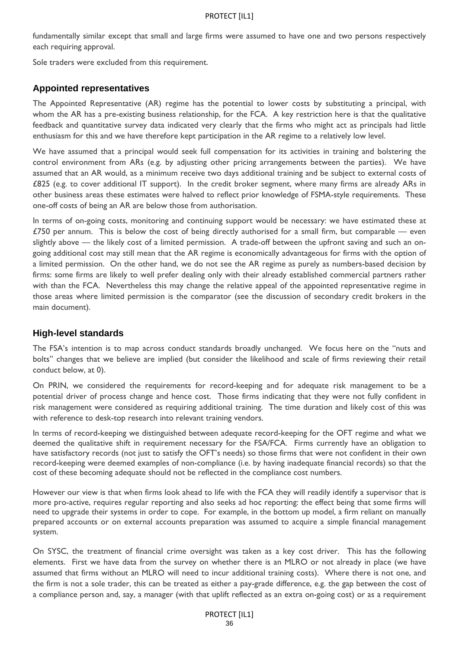fundamentally similar except that small and large firms were assumed to have one and two persons respectively each requiring approval.

Sole traders were excluded from this requirement.

## **Appointed representatives**

The Appointed Representative (AR) regime has the potential to lower costs by substituting a principal, with whom the AR has a pre-existing business relationship, for the FCA. A key restriction here is that the qualitative feedback and quantitative survey data indicated very clearly that the firms who might act as principals had little enthusiasm for this and we have therefore kept participation in the AR regime to a relatively low level.

We have assumed that a principal would seek full compensation for its activities in training and bolstering the control environment from ARs (e.g. by adjusting other pricing arrangements between the parties). We have assumed that an AR would, as a minimum receive two days additional training and be subject to external costs of £825 (e.g. to cover additional IT support). In the credit broker segment, where many firms are already ARs in other business areas these estimates were halved to reflect prior knowledge of FSMA-style requirements. These one-off costs of being an AR are below those from authorisation.

In terms of on-going costs, monitoring and continuing support would be necessary: we have estimated these at £750 per annum. This is below the cost of being directly authorised for a small firm, but comparable — even slightly above — the likely cost of a limited permission. A trade-off between the upfront saving and such an ongoing additional cost may still mean that the AR regime is economically advantageous for firms with the option of a limited permission. On the other hand, we do not see the AR regime as purely as numbers-based decision by firms: some firms are likely to well prefer dealing only with their already established commercial partners rather with than the FCA. Nevertheless this may change the relative appeal of the appointed representative regime in those areas where limited permission is the comparator (see the discussion of secondary credit brokers in the main document).

## **High-level standards**

The FSA's intention is to map across conduct standards broadly unchanged. We focus here on the "nuts and bolts" changes that we believe are implied (but consider the likelihood and scale of firms reviewing their retail conduct below, at [0](#page-38-0)).

On PRIN, we considered the requirements for record-keeping and for adequate risk management to be a potential driver of process change and hence cost. Those firms indicating that they were not fully confident in risk management were considered as requiring additional training. The time duration and likely cost of this was with reference to desk-top research into relevant training vendors.

In terms of record-keeping we distinguished between adequate record-keeping for the OFT regime and what we deemed the qualitative shift in requirement necessary for the FSA/FCA. Firms currently have an obligation to have satisfactory records (not just to satisfy the OFT's needs) so those firms that were not confident in their own record-keeping were deemed examples of non-compliance (i.e. by having inadequate financial records) so that the cost of these becoming adequate should not be reflected in the compliance cost numbers.

However our view is that when firms look ahead to life with the FCA they will readily identify a supervisor that is more pro-active, requires regular reporting and also seeks ad hoc reporting: the effect being that some firms will need to upgrade their systems in order to cope. For example, in the bottom up model, a firm reliant on manually prepared accounts or on external accounts preparation was assumed to acquire a simple financial management system.

On SYSC, the treatment of financial crime oversight was taken as a key cost driver. This has the following elements. First we have data from the survey on whether there is an MLRO or not already in place (we have assumed that firms without an MLRO will need to incur additional training costs). Where there is not one, and the firm is not a sole trader, this can be treated as either a pay-grade difference, e.g. the gap between the cost of a compliance person and, say, a manager (with that uplift reflected as an extra on-going cost) or as a requirement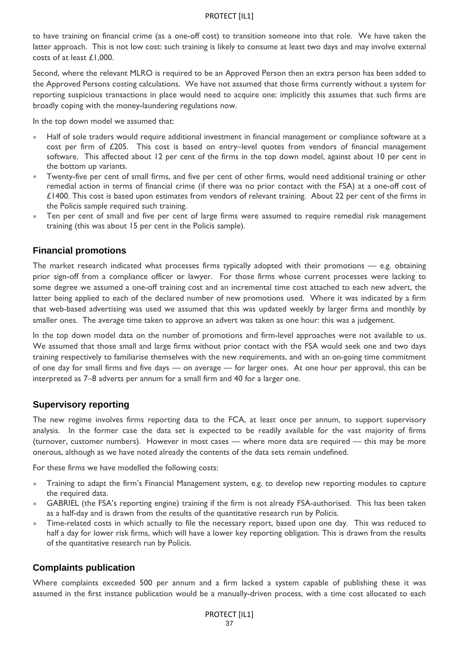to have training on financial crime (as a one-off cost) to transition someone into that role. We have taken the latter approach. This is not low cost: such training is likely to consume at least two days and may involve external costs of at least £1,000.

Second, where the relevant MLRO is required to be an Approved Person then an extra person has been added to the Approved Persons costing calculations. We have not assumed that those firms currently without a system for reporting suspicious transactions in place would need to acquire one: implicitly this assumes that such firms are broadly coping with the money-laundering regulations now.

In the top down model we assumed that:

- Half of sole traders would require additional investment in financial management or compliance software at a cost per firm of £205. This cost is based on entry–level quotes from vendors of financial management software. This affected about 12 per cent of the firms in the top down model, against about 10 per cent in the bottom up variants.
- Twenty-five per cent of small firms, and five per cent of other firms, would need additional training or other remedial action in terms of financial crime (if there was no prior contact with the FSA) at a one-off cost of £1400. This cost is based upon estimates from vendors of relevant training. About 22 per cent of the firms in the Policis sample required such training.
- Ten per cent of small and five per cent of large firms were assumed to require remedial risk management training (this was about 15 per cent in the Policis sample).

### **Financial promotions**

The market research indicated what processes firms typically adopted with their promotions — e.g. obtaining prior sign-off from a compliance officer or lawyer. For those firms whose current processes were lacking to some degree we assumed a one-off training cost and an incremental time cost attached to each new advert, the latter being applied to each of the declared number of new promotions used. Where it was indicated by a firm that web-based advertising was used we assumed that this was updated weekly by larger firms and monthly by smaller ones. The average time taken to approve an advert was taken as one hour: this was a judgement.

In the top down model data on the number of promotions and firm-level approaches were not available to us. We assumed that those small and large firms without prior contact with the FSA would seek one and two days training respectively to familiarise themselves with the new requirements, and with an on-going time commitment of one day for small firms and five days — on average — for larger ones. At one hour per approval, this can be interpreted as 7–8 adverts per annum for a small firm and 40 for a larger one.

## **Supervisory reporting**

The new regime involves firms reporting data to the FCA, at least once per annum, to support supervisory analysis. In the former case the data set is expected to be readily available for the vast majority of firms (turnover, customer numbers). However in most cases — where more data are required — this may be more onerous, although as we have noted already the contents of the data sets remain undefined.

For these firms we have modelled the following costs:

- Training to adapt the firm's Financial Management system, e.g. to develop new reporting modules to capture the required data.
- GABRIEL (the FSA's reporting engine) training if the firm is not already FSA-authorised. This has been taken as a half-day and is drawn from the results of the quantitative research run by Policis.
- Time-related costs in which actually to file the necessary report, based upon one day. This was reduced to half a day for lower risk firms, which will have a lower key reporting obligation. This is drawn from the results of the quantitative research run by Policis.

#### **Complaints publication**

Where complaints exceeded 500 per annum and a firm lacked a system capable of publishing these it was assumed in the first instance publication would be a manually-driven process, with a time cost allocated to each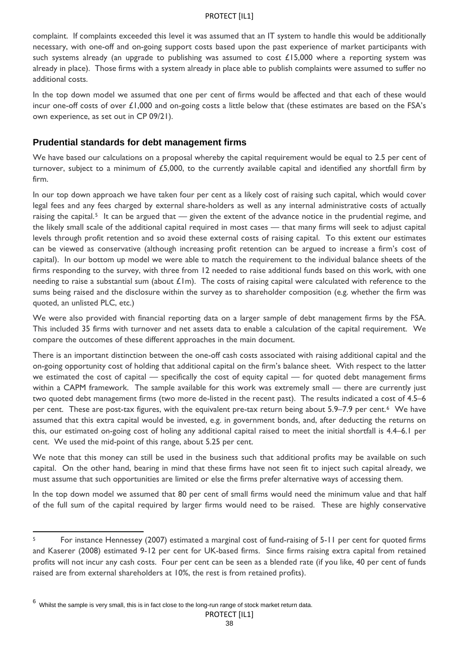complaint. If complaints exceeded this level it was assumed that an IT system to handle this would be additionally necessary, with one-off and on-going support costs based upon the past experience of market participants with such systems already (an upgrade to publishing was assumed to cost  $£15,000$  where a reporting system was already in place). Those firms with a system already in place able to publish complaints were assumed to suffer no additional costs.

In the top down model we assumed that one per cent of firms would be affected and that each of these would incur one-off costs of over £1,000 and on-going costs a little below that (these estimates are based on the FSA's own experience, as set out in CP 09/21).

### **Prudential standards for debt management firms**

We have based our calculations on a proposal whereby the capital requirement would be equal to 2.5 per cent of turnover, subject to a minimum of £5,000, to the currently available capital and identified any shortfall firm by firm.

In our top down approach we have taken four per cent as a likely cost of raising such capital, which would cover legal fees and any fees charged by external share-holders as well as any internal administrative costs of actually raising the capital.<sup>[5](#page-34-1)</sup> It can be argued that — given the extent of the advance notice in the prudential regime, and the likely small scale of the additional capital required in most cases — that many firms will seek to adjust capital levels through profit retention and so avoid these external costs of raising capital. To this extent our estimates can be viewed as conservative (although increasing profit retention can be argued to increase a firm's cost of capital). In our bottom up model we were able to match the requirement to the individual balance sheets of the firms responding to the survey, with three from 12 needed to raise additional funds based on this work, with one needing to raise a substantial sum (about  $£1m$ ). The costs of raising capital were calculated with reference to the sums being raised and the disclosure within the survey as to shareholder composition (e.g. whether the firm was quoted, an unlisted PLC, etc.)

We were also provided with financial reporting data on a larger sample of debt management firms by the FSA. This included 35 firms with turnover and net assets data to enable a calculation of the capital requirement. We compare the outcomes of these different approaches in the main document.

There is an important distinction between the one-off cash costs associated with raising additional capital and the on-going opportunity cost of holding that additional capital on the firm's balance sheet. With respect to the latter we estimated the cost of capital — specifically the cost of equity capital — for quoted debt management firms within a CAPM framework. The sample available for this work was extremely small — there are currently just two quoted debt management firms (two more de-listed in the recent past). The results indicated a cost of 4.5–6 per cent. These are post-tax figures, with the equivalent pre-tax return being about 5.9–7.9 per cent.[6](#page-37-0) We have assumed that this extra capital would be invested, e.g. in government bonds, and, after deducting the returns on this, our estimated on-going cost of holing any additional capital raised to meet the initial shortfall is 4.4–6.1 per cent. We used the mid-point of this range, about 5.25 per cent.

We note that this money can still be used in the business such that additional profits may be available on such capital. On the other hand, bearing in mind that these firms have not seen fit to inject such capital already, we must assume that such opportunities are limited or else the firms prefer alternative ways of accessing them.

In the top down model we assumed that 80 per cent of small firms would need the minimum value and that half of the full sum of the capital required by larger firms would need to be raised. These are highly conservative

l

PROTECT [IL1]

<span id="page-37-1"></span><sup>&</sup>lt;sup>5</sup> For instance Hennessey (2007) estimated a marginal cost of fund-raising of 5-11 per cent for quoted firms and Kaserer (2008) estimated 9-12 per cent for UK-based firms. Since firms raising extra capital from retained profits will not incur any cash costs. Four per cent can be seen as a blended rate (if you like, 40 per cent of funds raised are from external shareholders at 10%, the rest is from retained profits).

<span id="page-37-0"></span><sup>6</sup> Whilst the sample is very small, this is in fact close to the long-run range of stock market return data.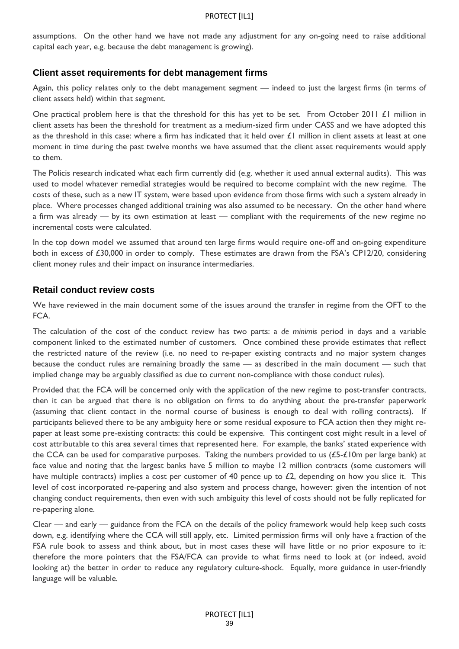assumptions. On the other hand we have not made any adjustment for any on-going need to raise additional capital each year, e.g. because the debt management is growing).

#### **Client asset requirements for debt management firms**

Again, this policy relates only to the debt management segment — indeed to just the largest firms (in terms of client assets held) within that segment.

One practical problem here is that the threshold for this has yet to be set. From October 2011 £1 million in client assets has been the threshold for treatment as a medium-sized firm under CASS and we have adopted this as the threshold in this case: where a firm has indicated that it held over  $\pounds1$  million in client assets at least at one moment in time during the past twelve months we have assumed that the client asset requirements would apply to them.

The Policis research indicated what each firm currently did (e.g. whether it used annual external audits). This was used to model whatever remedial strategies would be required to become complaint with the new regime. The costs of these, such as a new IT system, were based upon evidence from those firms with such a system already in place. Where processes changed additional training was also assumed to be necessary. On the other hand where a firm was already — by its own estimation at least — compliant with the requirements of the new regime no incremental costs were calculated.

In the top down model we assumed that around ten large firms would require one-off and on-going expenditure both in excess of £30,000 in order to comply. These estimates are drawn from the FSA's CP12/20, considering client money rules and their impact on insurance intermediaries.

#### <span id="page-38-0"></span>**Retail conduct review costs**

We have reviewed in the main document some of the issues around the transfer in regime from the OFT to the FCA.

The calculation of the cost of the conduct review has two parts: a *de minimis* period in days and a variable component linked to the estimated number of customers. Once combined these provide estimates that reflect the restricted nature of the review (i.e. no need to re-paper existing contracts and no major system changes because the conduct rules are remaining broadly the same — as described in the main document — such that implied change may be arguably classified as due to current non-compliance with those conduct rules).

Provided that the FCA will be concerned only with the application of the new regime to post-transfer contracts, then it can be argued that there is no obligation on firms to do anything about the pre-transfer paperwork (assuming that client contact in the normal course of business is enough to deal with rolling contracts). If participants believed there to be any ambiguity here or some residual exposure to FCA action then they might repaper at least some pre-existing contracts: this could be expensive. This contingent cost might result in a level of cost attributable to this area several times that represented here. For example, the banks' stated experience with the CCA can be used for comparative purposes. Taking the numbers provided to us (£5-£10m per large bank) at face value and noting that the largest banks have 5 million to maybe 12 million contracts (some customers will have multiple contracts) implies a cost per customer of 40 pence up to £2, depending on how you slice it. This level of cost incorporated re-papering and also system and process change, however: given the intention of not changing conduct requirements, then even with such ambiguity this level of costs should not be fully replicated for re-papering alone.

Clear — and early — guidance from the FCA on the details of the policy framework would help keep such costs down, e.g. identifying where the CCA will still apply, etc. Limited permission firms will only have a fraction of the FSA rule book to assess and think about, but in most cases these will have little or no prior exposure to it: therefore the more pointers that the FSA/FCA can provide to what firms need to look at (or indeed, avoid looking at) the better in order to reduce any regulatory culture-shock. Equally, more guidance in user-friendly language will be valuable.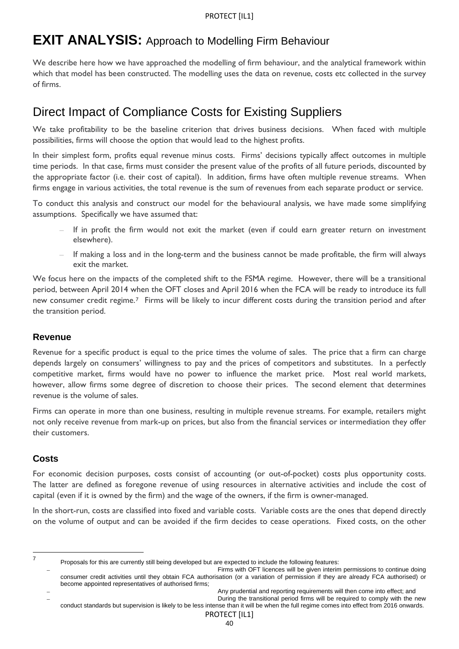## **EXIT ANALYSIS:** Approach to Modelling Firm Behaviour

We describe here how we have approached the modelling of firm behaviour, and the analytical framework within which that model has been constructed. The modelling uses the data on revenue, costs etc collected in the survey of firms.

## Direct Impact of Compliance Costs for Existing Suppliers

We take profitability to be the baseline criterion that drives business decisions. When faced with multiple possibilities, firms will choose the option that would lead to the highest profits.

In their simplest form, profits equal revenue minus costs. Firms' decisions typically affect outcomes in multiple time periods. In that case, firms must consider the present value of the profits of all future periods, discounted by the appropriate factor (i.e. their cost of capital). In addition, firms have often multiple revenue streams. When firms engage in various activities, the total revenue is the sum of revenues from each separate product or service.

To conduct this analysis and construct our model for the behavioural analysis, we have made some simplifying assumptions. Specifically we have assumed that:

- If in profit the firm would not exit the market (even if could earn greater return on investment elsewhere).
- If making a loss and in the long-term and the business cannot be made profitable, the firm will always exit the market.

We focus here on the impacts of the completed shift to the FSMA regime. However, there will be a transitional period, between April 2014 when the OFT closes and April 2016 when the FCA will be ready to introduce its full new consumer credit regime.[7](#page-37-1) Firms will be likely to incur different costs during the transition period and after the transition period.

## **Revenue**

Revenue for a specific product is equal to the price times the volume of sales. The price that a firm can charge depends largely on consumers' willingness to pay and the prices of competitors and substitutes. In a perfectly competitive market, firms would have no power to influence the market price. Most real world markets, however, allow firms some degree of discretion to choose their prices. The second element that determines revenue is the volume of sales.

Firms can operate in more than one business, resulting in multiple revenue streams. For example, retailers might not only receive revenue from mark-up on prices, but also from the financial services or intermediation they offer their customers.

## **Costs**

For economic decision purposes, costs consist of accounting (or out-of-pocket) costs plus opportunity costs. The latter are defined as foregone revenue of using resources in alternative activities and include the cost of capital (even if it is owned by the firm) and the wage of the owners, if the firm is owner-managed.

In the short-run, costs are classified into fixed and variable costs. Variable costs are the ones that depend directly on the volume of output and can be avoided if the firm decides to cease operations. Fixed costs, on the other

-<br>7

Proposals for this are currently still being developed but are expected to include the following features:

Firms with OFT licences will be given interim permissions to continue doing consumer credit activities until they obtain FCA authorisation (or a variation of permission if they are already FCA authorised) or become appointed representatives of authorised firms;

Any prudential and reporting requirements will then come into effect; and

<span id="page-39-0"></span>During the transitional period firms will be required to comply with the new conduct standards but supervision is likely to be less intense than it will be when the full regime comes into effect from 2016 onwards.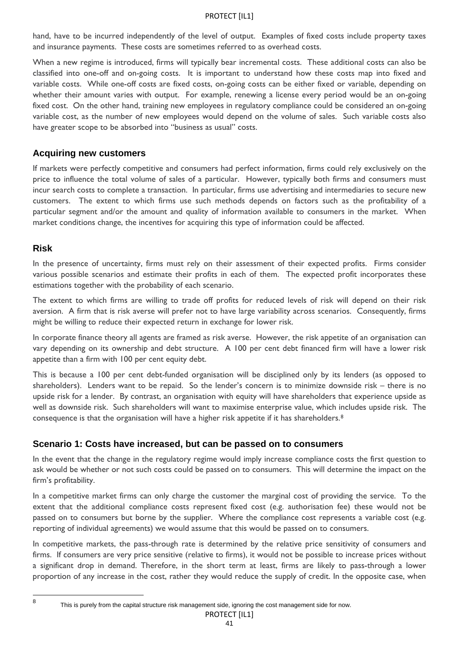hand, have to be incurred independently of the level of output. Examples of fixed costs include property taxes and insurance payments. These costs are sometimes referred to as overhead costs.

When a new regime is introduced, firms will typically bear incremental costs. These additional costs can also be classified into one-off and on-going costs. It is important to understand how these costs map into fixed and variable costs. While one-off costs are fixed costs, on-going costs can be either fixed or variable, depending on whether their amount varies with output. For example, renewing a license every period would be an on-going fixed cost. On the other hand, training new employees in regulatory compliance could be considered an on-going variable cost, as the number of new employees would depend on the volume of sales. Such variable costs also have greater scope to be absorbed into "business as usual" costs.

#### **Acquiring new customers**

If markets were perfectly competitive and consumers had perfect information, firms could rely exclusively on the price to influence the total volume of sales of a particular. However, typically both firms and consumers must incur search costs to complete a transaction. In particular, firms use advertising and intermediaries to secure new customers. The extent to which firms use such methods depends on factors such as the profitability of a particular segment and/or the amount and quality of information available to consumers in the market. When market conditions change, the incentives for acquiring this type of information could be affected.

#### **Risk**

In the presence of uncertainty, firms must rely on their assessment of their expected profits. Firms consider various possible scenarios and estimate their profits in each of them. The expected profit incorporates these estimations together with the probability of each scenario.

The extent to which firms are willing to trade off profits for reduced levels of risk will depend on their risk aversion. A firm that is risk averse will prefer not to have large variability across scenarios. Consequently, firms might be willing to reduce their expected return in exchange for lower risk.

In corporate finance theory all agents are framed as risk averse. However, the risk appetite of an organisation can vary depending on its ownership and debt structure. A 100 per cent debt financed firm will have a lower risk appetite than a firm with 100 per cent equity debt.

This is because a 100 per cent debt-funded organisation will be disciplined only by its lenders (as opposed to shareholders). Lenders want to be repaid. So the lender's concern is to minimize downside risk – there is no upside risk for a lender. By contrast, an organisation with equity will have shareholders that experience upside as well as downside risk. Such shareholders will want to maximise enterprise value, which includes upside risk. The consequence is that the organisation will have a higher risk appetite if it has shareholders.[8](#page-39-0)

## **Scenario 1: Costs have increased, but can be passed on to consumers**

In the event that the change in the regulatory regime would imply increase compliance costs the first question to ask would be whether or not such costs could be passed on to consumers. This will determine the impact on the firm's profitability.

In a competitive market firms can only charge the customer the marginal cost of providing the service. To the extent that the additional compliance costs represent fixed cost (e.g. authorisation fee) these would not be passed on to consumers but borne by the supplier. Where the compliance cost represents a variable cost (e.g. reporting of individual agreements) we would assume that this would be passed on to consumers.

<span id="page-40-0"></span>In competitive markets, the pass-through rate is determined by the relative price sensitivity of consumers and firms. If consumers are very price sensitive (relative to firms), it would not be possible to increase prices without a significant drop in demand. Therefore, in the short term at least, firms are likely to pass-through a lower proportion of any increase in the cost, rather they would reduce the supply of credit. In the opposite case, when

 $\frac{1}{8}$ 

This is purely from the capital structure risk management side, ignoring the cost management side for now.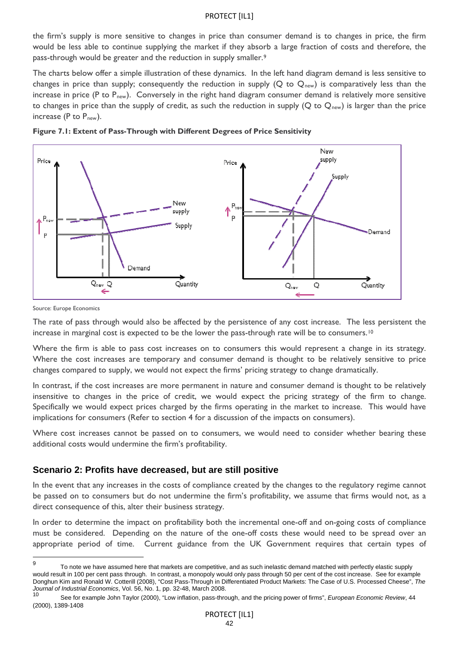the firm's supply is more sensitive to changes in price than consumer demand is to changes in price, the firm would be less able to continue supplying the market if they absorb a large fraction of costs and therefore, the pass-through would be greater and the reduction in supply smaller.[9](#page-40-0)

The charts below offer a simple illustration of these dynamics. In the left hand diagram demand is less sensitive to changes in price than supply; consequently the reduction in supply (Q to  $Q_{\text{new}}$ ) is comparatively less than the increase in price (P to  $P_{\text{new}}$ ). Conversely in the right hand diagram consumer demand is relatively more sensitive to changes in price than the supply of credit, as such the reduction in supply ( $Q$  to  $Q_{\text{new}}$ ) is larger than the price increase (P to  $P_{new}$ ).



**Figure 7.1: Extent of Pass-Through with Different Degrees of Price Sensitivity** 

Source: Europe Economics

The rate of pass through would also be affected by the persistence of any cost increase. The less persistent the increase in marginal cost is expected to be the lower the pass-through rate will be to consumers.<sup>[10](#page-41-0)</sup>

Where the firm is able to pass cost increases on to consumers this would represent a change in its strategy. Where the cost increases are temporary and consumer demand is thought to be relatively sensitive to price changes compared to supply, we would not expect the firms' pricing strategy to change dramatically.

In contrast, if the cost increases are more permanent in nature and consumer demand is thought to be relatively insensitive to changes in the price of credit, we would expect the pricing strategy of the firm to change. Specifically we would expect prices charged by the firms operating in the market to increase. This would have implications for consumers (Refer to section 4 for a discussion of the impacts on consumers).

Where cost increases cannot be passed on to consumers, we would need to consider whether bearing these additional costs would undermine the firm's profitability.

#### **Scenario 2: Profits have decreased, but are still positive**

In the event that any increases in the costs of compliance created by the changes to the regulatory regime cannot be passed on to consumers but do not undermine the firm's profitability, we assume that firms would not, as a direct consequence of this, alter their business strategy.

In order to determine the impact on profitability both the incremental one-off and on-going costs of compliance must be considered. Depending on the nature of the one-off costs these would need to be spread over an appropriate period of time. Current guidance from the UK Government requires that certain types of

<span id="page-41-1"></span><sup>–&</sup>lt;br>9 To note we have assumed here that markets are competitive, and as such inelastic demand matched with perfectly elastic supply would result in 100 per cent pass through. In contrast, a monopoly would only pass through 50 per cent of the cost increase. See for example Donghun Kim and Ronald W. Cotterill (2008), "Cost Pass-Through in Differentiated Product Markets: The Case of U.S. Processed Cheese", *The Journal of Industrial Economics*, Vol. 56, No. 1, pp. 32-48, March 2008.

<span id="page-41-0"></span><sup>10</sup> See for example John Taylor (2000), "Low inflation, pass-through, and the pricing power of firms", *European Economic Review*, 44 (2000), 1389-1408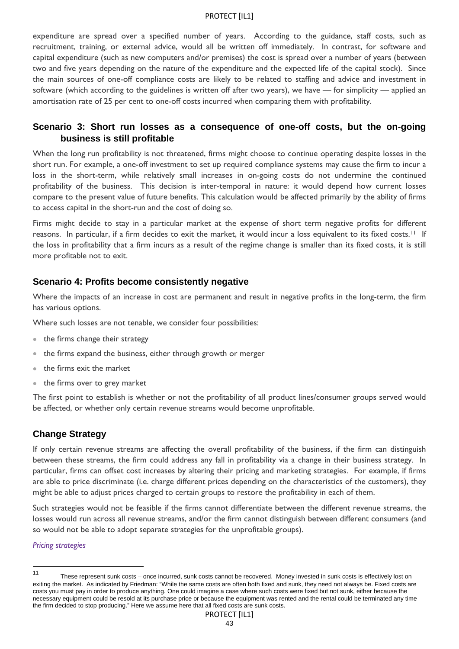expenditure are spread over a specified number of years. According to the guidance, staff costs, such as recruitment, training, or external advice, would all be written off immediately. In contrast, for software and capital expenditure (such as new computers and/or premises) the cost is spread over a number of years (between two and five years depending on the nature of the expenditure and the expected life of the capital stock). Since the main sources of one-off compliance costs are likely to be related to staffing and advice and investment in software (which according to the guidelines is written off after two years), we have — for simplicity — applied an amortisation rate of 25 per cent to one-off costs incurred when comparing them with profitability.

## **Scenario 3: Short run losses as a consequence of one-off costs, but the on-going business is still profitable**

When the long run profitability is not threatened, firms might choose to continue operating despite losses in the short run. For example, a one-off investment to set up required compliance systems may cause the firm to incur a loss in the short-term, while relatively small increases in on-going costs do not undermine the continued profitability of the business. This decision is inter-temporal in nature: it would depend how current losses compare to the present value of future benefits. This calculation would be affected primarily by the ability of firms to access capital in the short-run and the cost of doing so.

Firms might decide to stay in a particular market at the expense of short term negative profits for different reasons. In particular, if a firm decides to exit the market, it would incur a loss equivalent to its fixed costs.[11](#page-41-1) If the loss in profitability that a firm incurs as a result of the regime change is smaller than its fixed costs, it is still more profitable not to exit.

### **Scenario 4: Profits become consistently negative**

Where the impacts of an increase in cost are permanent and result in negative profits in the long-term, the firm has various options.

Where such losses are not tenable, we consider four possibilities:

- the firms change their strategy
- the firms expand the business, either through growth or merger
- the firms exit the market
- the firms over to grey market

The first point to establish is whether or not the profitability of all product lines/consumer groups served would be affected, or whether only certain revenue streams would become unprofitable.

## **Change Strategy**

If only certain revenue streams are affecting the overall profitability of the business, if the firm can distinguish between these streams, the firm could address any fall in profitability via a change in their business strategy. In particular, firms can offset cost increases by altering their pricing and marketing strategies. For example, if firms are able to price discriminate (i.e. charge different prices depending on the characteristics of the customers), they might be able to adjust prices charged to certain groups to restore the profitability in each of them.

Such strategies would not be feasible if the firms cannot differentiate between the different revenue streams, the losses would run across all revenue streams, and/or the firm cannot distinguish between different consumers (and so would not be able to adopt separate strategies for the unprofitable groups).

#### *Pricing strategies*

l

<sup>11</sup> These represent sunk costs – once incurred, sunk costs cannot be recovered. Money invested in sunk costs is effectively lost on exiting the market. As indicated by Friedman: "While the same costs are often both fixed and sunk, they need not always be. Fixed costs are costs you must pay in order to produce anything. One could imagine a case where such costs were fixed but not sunk, either because the necessary equipment could be resold at its purchase price or because the equipment was rented and the rental could be terminated any time the firm decided to stop producing." Here we assume here that all fixed costs are sunk costs.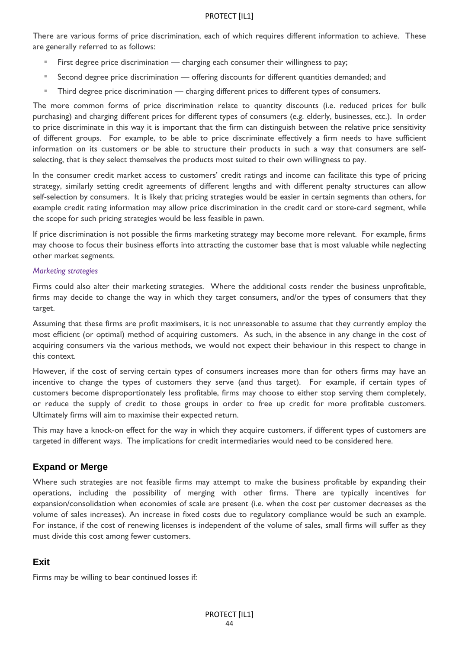There are various forms of price discrimination, each of which requires different information to achieve. These are generally referred to as follows:

- First degree price discrimination charging each consumer their willingness to pay;
- Second degree price discrimination offering discounts for different quantities demanded; and
- **Third degree price discrimination charging different prices to different types of consumers.**

The more common forms of price discrimination relate to quantity discounts (i.e. reduced prices for bulk purchasing) and charging different prices for different types of consumers (e.g. elderly, businesses, etc.). In order to price discriminate in this way it is important that the firm can distinguish between the relative price sensitivity of different groups. For example, to be able to price discriminate effectively a firm needs to have sufficient information on its customers or be able to structure their products in such a way that consumers are selfselecting, that is they select themselves the products most suited to their own willingness to pay.

In the consumer credit market access to customers' credit ratings and income can facilitate this type of pricing strategy, similarly setting credit agreements of different lengths and with different penalty structures can allow self-selection by consumers. It is likely that pricing strategies would be easier in certain segments than others, for example credit rating information may allow price discrimination in the credit card or store-card segment, while the scope for such pricing strategies would be less feasible in pawn.

If price discrimination is not possible the firms marketing strategy may become more relevant. For example, firms may choose to focus their business efforts into attracting the customer base that is most valuable while neglecting other market segments.

#### *Marketing strategies*

Firms could also alter their marketing strategies. Where the additional costs render the business unprofitable, firms may decide to change the way in which they target consumers, and/or the types of consumers that they target.

Assuming that these firms are profit maximisers, it is not unreasonable to assume that they currently employ the most efficient (or optimal) method of acquiring customers. As such, in the absence in any change in the cost of acquiring consumers via the various methods, we would not expect their behaviour in this respect to change in this context.

However, if the cost of serving certain types of consumers increases more than for others firms may have an incentive to change the types of customers they serve (and thus target). For example, if certain types of customers become disproportionately less profitable, firms may choose to either stop serving them completely, or reduce the supply of credit to those groups in order to free up credit for more profitable customers. Ultimately firms will aim to maximise their expected return.

This may have a knock-on effect for the way in which they acquire customers, if different types of customers are targeted in different ways. The implications for credit intermediaries would need to be considered here.

#### **Expand or Merge**

Where such strategies are not feasible firms may attempt to make the business profitable by expanding their operations, including the possibility of merging with other firms. There are typically incentives for expansion/consolidation when economies of scale are present (i.e. when the cost per customer decreases as the volume of sales increases). An increase in fixed costs due to regulatory compliance would be such an example. For instance, if the cost of renewing licenses is independent of the volume of sales, small firms will suffer as they must divide this cost among fewer customers.

## **Exit**

Firms may be willing to bear continued losses if: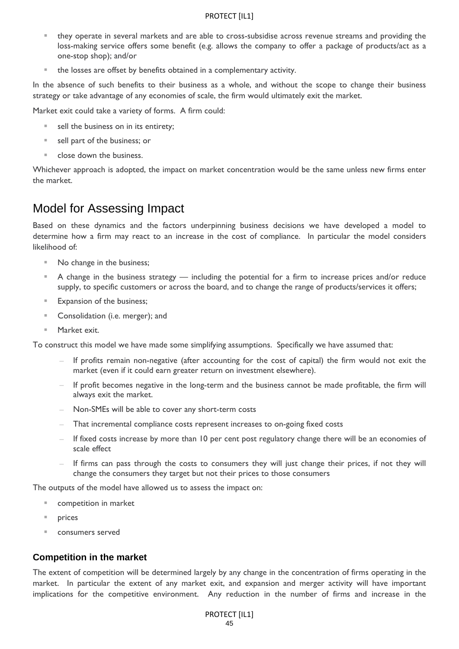- they operate in several markets and are able to cross-subsidise across revenue streams and providing the loss-making service offers some benefit (e.g. allows the company to offer a package of products/act as a one-stop shop); and/or
- the losses are offset by benefits obtained in a complementary activity.

In the absence of such benefits to their business as a whole, and without the scope to change their business strategy or take advantage of any economies of scale, the firm would ultimately exit the market.

Market exit could take a variety of forms. A firm could:

- sell the business on in its entirety;
- sell part of the business; or
- close down the business.

Whichever approach is adopted, the impact on market concentration would be the same unless new firms enter the market.

## Model for Assessing Impact

Based on these dynamics and the factors underpinning business decisions we have developed a model to determine how a firm may react to an increase in the cost of compliance. In particular the model considers likelihood of:

- No change in the business;
- A change in the business strategy including the potential for a firm to increase prices and/or reduce supply, to specific customers or across the board, and to change the range of products/services it offers;
- **Expansion of the business;**
- **Consolidation (i.e. merger); and**
- Market exit.

To construct this model we have made some simplifying assumptions. Specifically we have assumed that:

- If profits remain non-negative (after accounting for the cost of capital) the firm would not exit the market (even if it could earn greater return on investment elsewhere).
- If profit becomes negative in the long-term and the business cannot be made profitable, the firm will always exit the market.
- Non-SMEs will be able to cover any short-term costs
- That incremental compliance costs represent increases to on-going fixed costs
- If fixed costs increase by more than 10 per cent post regulatory change there will be an economies of scale effect
- If firms can pass through the costs to consumers they will just change their prices, if not they will change the consumers they target but not their prices to those consumers

The outputs of the model have allowed us to assess the impact on:

- competition in market
- **prices**
- consumers served

#### **Competition in the market**

The extent of competition will be determined largely by any change in the concentration of firms operating in the market. In particular the extent of any market exit, and expansion and merger activity will have important implications for the competitive environment. Any reduction in the number of firms and increase in the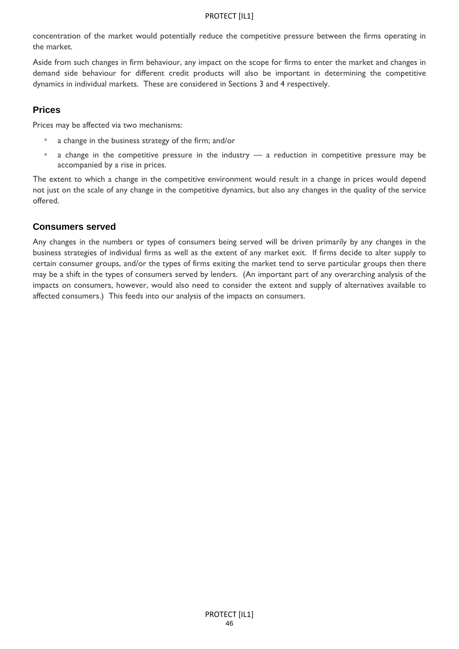concentration of the market would potentially reduce the competitive pressure between the firms operating in the market.

Aside from such changes in firm behaviour, any impact on the scope for firms to enter the market and changes in demand side behaviour for different credit products will also be important in determining the competitive dynamics in individual markets. These are considered in Sections 3 and 4 respectively.

## **Prices**

Prices may be affected via two mechanisms:

- **a** change in the business strategy of the firm; and/or
- a change in the competitive pressure in the industry a reduction in competitive pressure may be accompanied by a rise in prices.

The extent to which a change in the competitive environment would result in a change in prices would depend not just on the scale of any change in the competitive dynamics, but also any changes in the quality of the service offered.

### **Consumers served**

Any changes in the numbers or types of consumers being served will be driven primarily by any changes in the business strategies of individual firms as well as the extent of any market exit. If firms decide to alter supply to certain consumer groups, and/or the types of firms exiting the market tend to serve particular groups then there may be a shift in the types of consumers served by lenders. (An important part of any overarching analysis of the impacts on consumers, however, would also need to consider the extent and supply of alternatives available to affected consumers.) This feeds into our analysis of the impacts on consumers.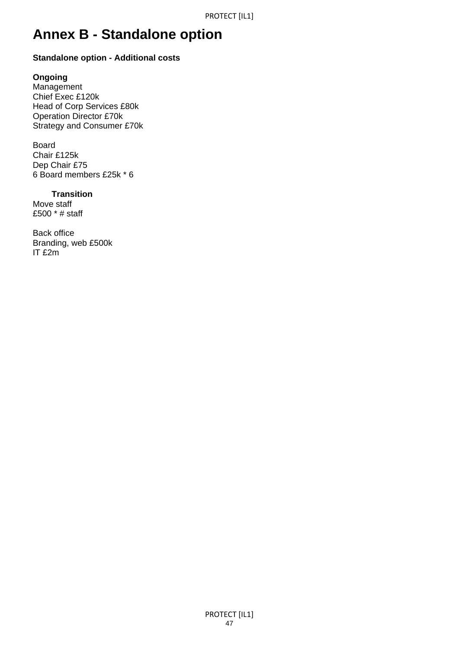# **Annex B - Standalone option**

## **Standalone option - Additional costs**

## **Ongoing**

Management Chief Exec £120k Head of Corp Services £80k Operation Director £70k Strategy and Consumer £70k

Board Chair £125k Dep Chair £75 6 Board members £25k \* 6

## **Transition**

Move staff £500 \* # staff

Back office Branding, web £500k IT £2m